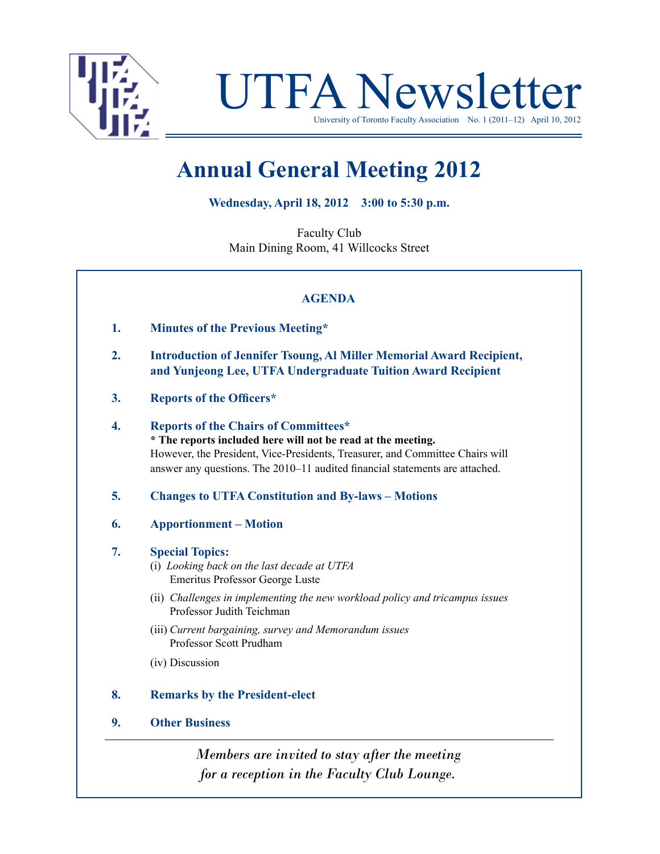

UTFA Newsletter

University of Toronto Faculty Association No. 1 (2011–12) April 10, 2012

# **Annual General Meeting 2012**

**Wednesday, April 18, 2012 3:00 to 5:30 p.m.**

Faculty Club Main Dining Room, 41 Willcocks Street

## **AGENDA**

- **1. Minutes of the Previous Meeting\***
- **2. Introduction of Jennifer Tsoung, Al Miller Memorial Award Recipient, and Yunjeong Lee, UTFA Undergraduate Tuition Award Recipient**
- **3. Reports of the Officers\***
- **4. Reports of the Chairs of Committees\* \* The reports included here will not be read at the meeting.** However, the President, Vice-Presidents, Treasurer, and Committee Chairs will answer any questions. The 2010–11 audited financial statements are attached.
- **5. Changes to UTFA Constitution and By-laws Motions**
- **6. Apportionment Motion**

## **7. Special Topics:**

- (i) *Looking back on the last decade at UTFA*  Emeritus Professor George Luste
- (ii) *Challenges in implementing the new workload policy and tricampus issues* Professor Judith Teichman
- (iii) *Current bargaining, survey and Memorandum issues*  Professor Scott Prudham
- (iv) Discussion
- **8. Remarks by the President-elect**

## **9. Other Business**

*Members are invited to stay after the meeting for a reception in the Faculty Club Lounge.*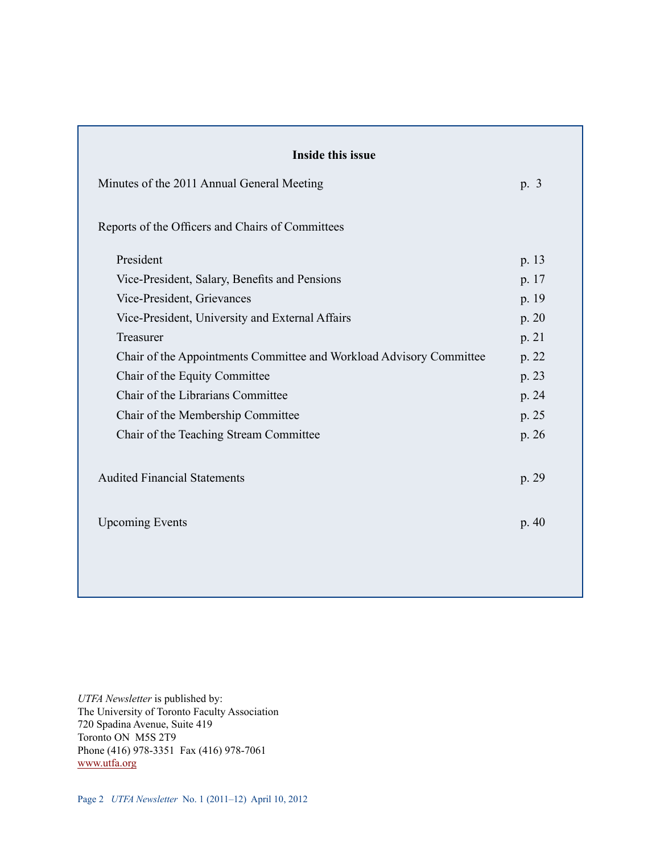| <b>Inside this issue</b>                                            |       |
|---------------------------------------------------------------------|-------|
| Minutes of the 2011 Annual General Meeting                          | p. 3  |
| Reports of the Officers and Chairs of Committees                    |       |
| President                                                           | p. 13 |
| Vice-President, Salary, Benefits and Pensions                       | p. 17 |
| Vice-President, Grievances                                          | p. 19 |
| Vice-President, University and External Affairs                     | p. 20 |
| Treasurer                                                           | p. 21 |
| Chair of the Appointments Committee and Workload Advisory Committee | p. 22 |
| Chair of the Equity Committee                                       | p. 23 |
| Chair of the Librarians Committee                                   | p. 24 |
| Chair of the Membership Committee                                   | p. 25 |
| Chair of the Teaching Stream Committee                              | p. 26 |
|                                                                     |       |
| <b>Audited Financial Statements</b>                                 | p. 29 |
|                                                                     |       |
| <b>Upcoming Events</b>                                              | p.40  |
|                                                                     |       |
|                                                                     |       |
|                                                                     |       |
|                                                                     |       |

*UTFA Newsletter* is published by: The University of Toronto Faculty Association 720 Spadina Avenue, Suite 419 Toronto ON M5S 2T9 Phone (416) 978-3351 Fax (416) 978-7061 [www.utfa.org](http://www.utfa.org)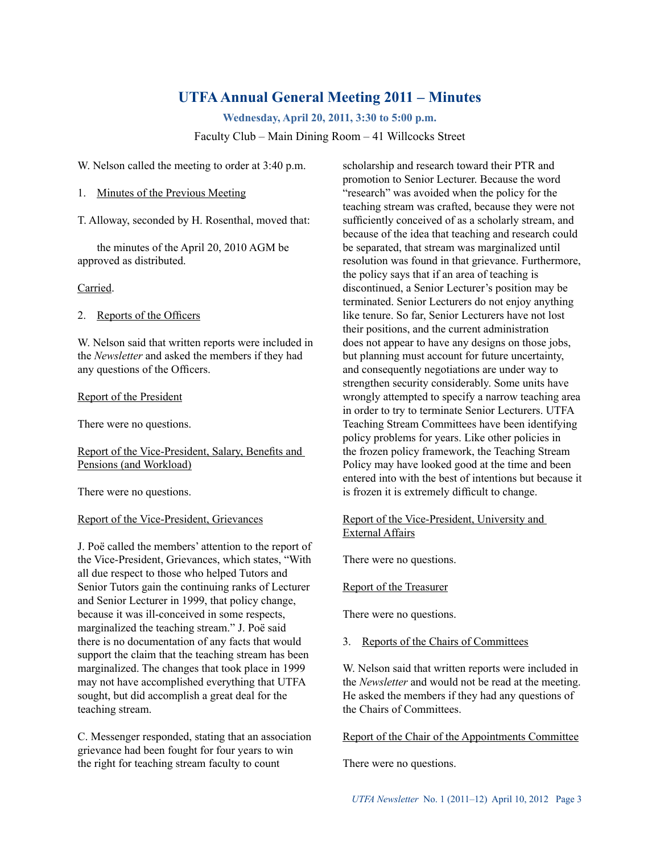## **UTFA Annual General Meeting 2011 – Minutes**

**Wednesday, April 20, 2011, 3:30 to 5:00 p.m.**

Faculty Club – Main Dining Room – 41 Willcocks Street

W. Nelson called the meeting to order at 3:40 p.m.

1. Minutes of the Previous Meeting

T. Alloway, seconded by H. Rosenthal, moved that:

the minutes of the April 20, 2010 AGM be approved as distributed.

## Carried.

2. Reports of the Officers

W. Nelson said that written reports were included in the *Newsletter* and asked the members if they had any questions of the Officers.

## Report of the President

There were no questions.

Report of the Vice-President, Salary, Benefits and Pensions (and Workload)

There were no questions.

## Report of the Vice-President, Grievances

J. Poë called the members' attention to the report of the Vice-President, Grievances, which states, "With all due respect to those who helped Tutors and Senior Tutors gain the continuing ranks of Lecturer and Senior Lecturer in 1999, that policy change, because it was ill-conceived in some respects, marginalized the teaching stream." J. Poë said there is no documentation of any facts that would support the claim that the teaching stream has been marginalized. The changes that took place in 1999 may not have accomplished everything that UTFA sought, but did accomplish a great deal for the teaching stream.

C. Messenger responded, stating that an association grievance had been fought for four years to win the right for teaching stream faculty to count

scholarship and research toward their PTR and promotion to Senior Lecturer. Because the word "research" was avoided when the policy for the teaching stream was crafted, because they were not sufficiently conceived of as a scholarly stream, and because of the idea that teaching and research could be separated, that stream was marginalized until resolution was found in that grievance. Furthermore, the policy says that if an area of teaching is discontinued, a Senior Lecturer's position may be terminated. Senior Lecturers do not enjoy anything like tenure. So far, Senior Lecturers have not lost their positions, and the current administration does not appear to have any designs on those jobs, but planning must account for future uncertainty, and consequently negotiations are under way to strengthen security considerably. Some units have wrongly attempted to specify a narrow teaching area in order to try to terminate Senior Lecturers. UTFA Teaching Stream Committees have been identifying policy problems for years. Like other policies in the frozen policy framework, the Teaching Stream Policy may have looked good at the time and been entered into with the best of intentions but because it is frozen it is extremely difficult to change.

## Report of the Vice-President, University and External Affairs

There were no questions.

Report of the Treasurer

There were no questions.

3. Reports of the Chairs of Committees

W. Nelson said that written reports were included in the *Newsletter* and would not be read at the meeting. He asked the members if they had any questions of the Chairs of Committees.

### Report of the Chair of the Appointments Committee

There were no questions.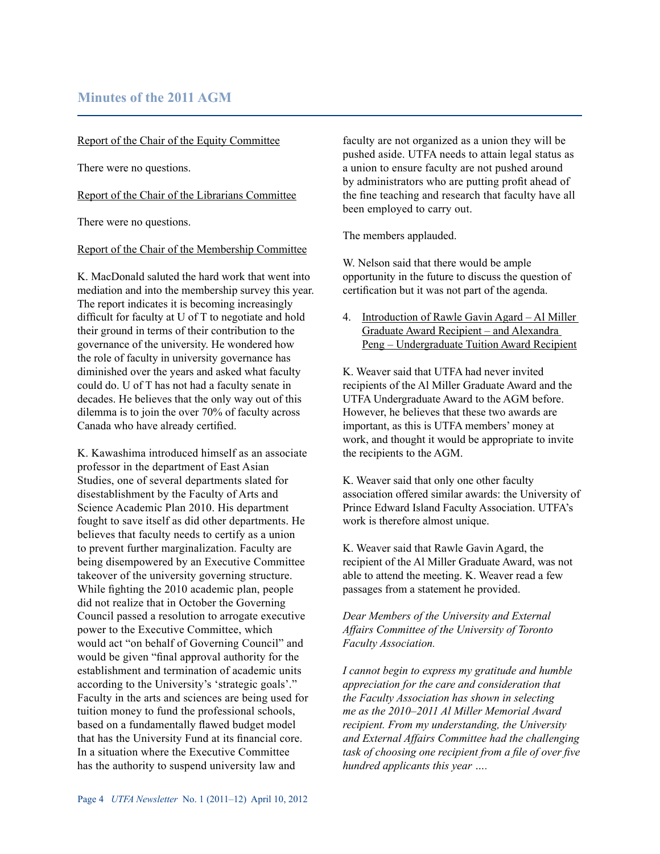### Report of the Chair of the Equity Committee

There were no questions.

## Report of the Chair of the Librarians Committee

There were no questions.

### Report of the Chair of the Membership Committee

K. MacDonald saluted the hard work that went into mediation and into the membership survey this year. The report indicates it is becoming increasingly difficult for faculty at U of T to negotiate and hold their ground in terms of their contribution to the governance of the university. He wondered how the role of faculty in university governance has diminished over the years and asked what faculty could do. U of T has not had a faculty senate in decades. He believes that the only way out of this dilemma is to join the over 70% of faculty across Canada who have already certified.

K. Kawashima introduced himself as an associate professor in the department of East Asian Studies, one of several departments slated for disestablishment by the Faculty of Arts and Science Academic Plan 2010. His department fought to save itself as did other departments. He believes that faculty needs to certify as a union to prevent further marginalization. Faculty are being disempowered by an Executive Committee takeover of the university governing structure. While fighting the 2010 academic plan, people did not realize that in October the Governing Council passed a resolution to arrogate executive power to the Executive Committee, which would act "on behalf of Governing Council" and would be given "final approval authority for the establishment and termination of academic units according to the University's 'strategic goals'." Faculty in the arts and sciences are being used for tuition money to fund the professional schools, based on a fundamentally flawed budget model that has the University Fund at its financial core. In a situation where the Executive Committee has the authority to suspend university law and

faculty are not organized as a union they will be pushed aside. UTFA needs to attain legal status as a union to ensure faculty are not pushed around by administrators who are putting profit ahead of the fine teaching and research that faculty have all been employed to carry out.

The members applauded.

W. Nelson said that there would be ample opportunity in the future to discuss the question of certification but it was not part of the agenda.

4. Introduction of Rawle Gavin Agard – Al Miller Graduate Award Recipient – and Alexandra Peng – Undergraduate Tuition Award Recipient

K. Weaver said that UTFA had never invited recipients of the Al Miller Graduate Award and the UTFA Undergraduate Award to the AGM before. However, he believes that these two awards are important, as this is UTFA members' money at work, and thought it would be appropriate to invite the recipients to the AGM.

K. Weaver said that only one other faculty association offered similar awards: the University of Prince Edward Island Faculty Association. UTFA's work is therefore almost unique.

K. Weaver said that Rawle Gavin Agard, the recipient of the Al Miller Graduate Award, was not able to attend the meeting. K. Weaver read a few passages from a statement he provided.

*Dear Members of the University and External Affairs Committee of the University of Toronto Faculty Association.*

*I cannot begin to express my gratitude and humble appreciation for the care and consideration that the Faculty Association has shown in selecting me as the 2010–2011 Al Miller Memorial Award recipient. From my understanding, the University and External Affairs Committee had the challenging task of choosing one recipient from a file of over five hundred applicants this year ….*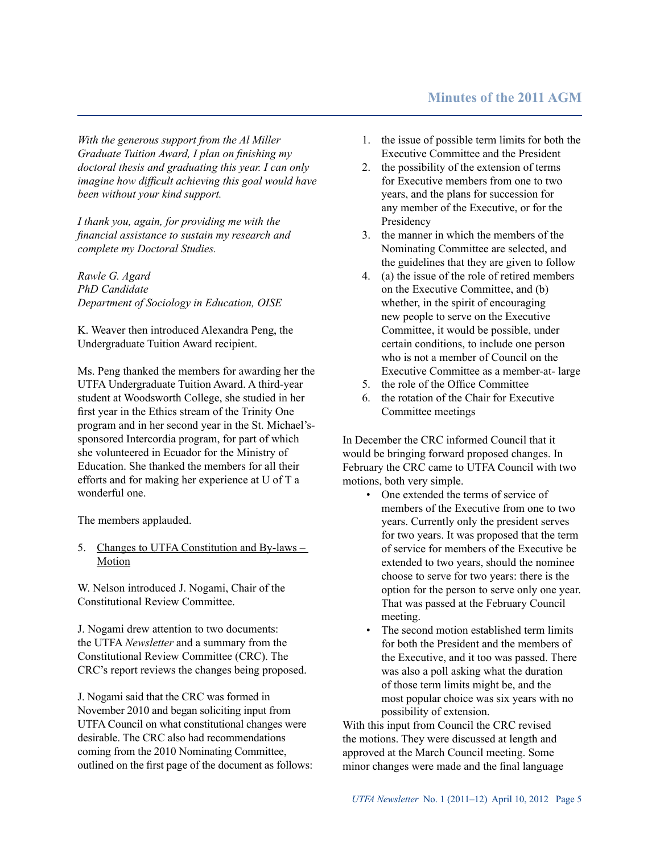*With the generous support from the Al Miller Graduate Tuition Award, I plan on finishing my doctoral thesis and graduating this year. I can only imagine how difficult achieving this goal would have been without your kind support.*

*I thank you, again, for providing me with the financial assistance to sustain my research and complete my Doctoral Studies.*

*Rawle G. Agard PhD Candidate Department of Sociology in Education, OISE*

K. Weaver then introduced Alexandra Peng, the Undergraduate Tuition Award recipient.

Ms. Peng thanked the members for awarding her the UTFA Undergraduate Tuition Award. A third-year student at Woodsworth College, she studied in her first year in the Ethics stream of the Trinity One program and in her second year in the St. Michael'ssponsored Intercordia program, for part of which she volunteered in Ecuador for the Ministry of Education. She thanked the members for all their efforts and for making her experience at U of T a wonderful one.

The members applauded.

5. Changes to UTFA Constitution and By-laws – Motion

W. Nelson introduced J. Nogami, Chair of the Constitutional Review Committee.

J. Nogami drew attention to two documents: the UTFA *Newsletter* and a summary from the Constitutional Review Committee (CRC). The CRC's report reviews the changes being proposed.

J. Nogami said that the CRC was formed in November 2010 and began soliciting input from UTFA Council on what constitutional changes were desirable. The CRC also had recommendations coming from the 2010 Nominating Committee, outlined on the first page of the document as follows:

- 1. the issue of possible term limits for both the Executive Committee and the President
- 2. the possibility of the extension of terms for Executive members from one to two years, and the plans for succession for any member of the Executive, or for the Presidency
- 3. the manner in which the members of the Nominating Committee are selected, and the guidelines that they are given to follow
- 4. (a) the issue of the role of retired members on the Executive Committee, and (b) whether, in the spirit of encouraging new people to serve on the Executive Committee, it would be possible, under certain conditions, to include one person who is not a member of Council on the Executive Committee as a member-at- large
- 5. the role of the Office Committee
- 6. the rotation of the Chair for Executive Committee meetings

In December the CRC informed Council that it would be bringing forward proposed changes. In February the CRC came to UTFA Council with two motions, both very simple.

- One extended the terms of service of members of the Executive from one to two years. Currently only the president serves for two years. It was proposed that the term of service for members of the Executive be extended to two years, should the nominee choose to serve for two years: there is the option for the person to serve only one year. That was passed at the February Council meeting.
- The second motion established term limits for both the President and the members of the Executive, and it too was passed. There was also a poll asking what the duration of those term limits might be, and the most popular choice was six years with no possibility of extension.

With this input from Council the CRC revised the motions. They were discussed at length and approved at the March Council meeting. Some minor changes were made and the final language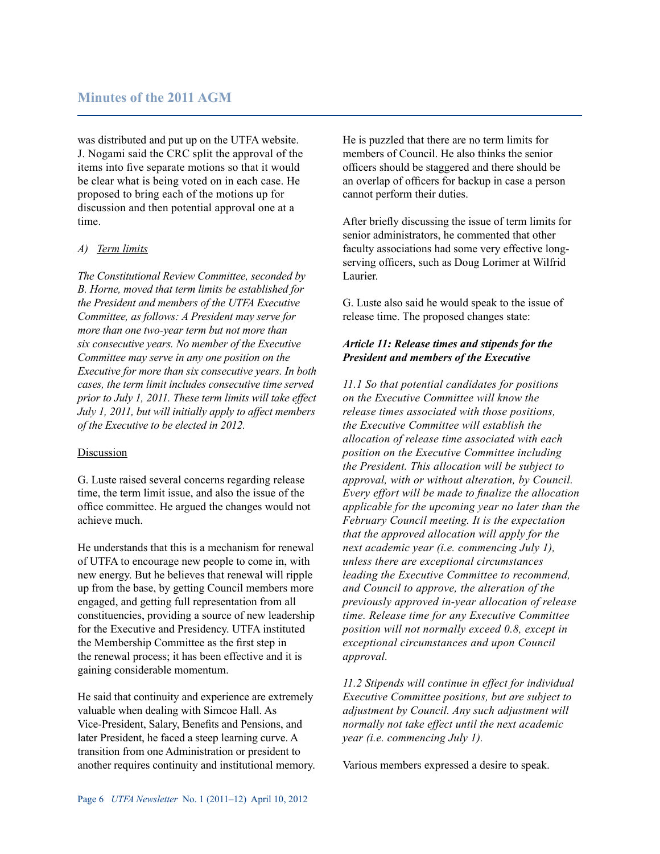was distributed and put up on the UTFA website. J. Nogami said the CRC split the approval of the items into five separate motions so that it would be clear what is being voted on in each case. He proposed to bring each of the motions up for discussion and then potential approval one at a time.

### *A) Term limits*

*The Constitutional Review Committee, seconded by B. Horne, moved that term limits be established for the President and members of the UTFA Executive Committee, as follows: A President may serve for more than one two-year term but not more than six consecutive years. No member of the Executive Committee may serve in any one position on the Executive for more than six consecutive years. In both cases, the term limit includes consecutive time served prior to July 1, 2011. These term limits will take effect July 1, 2011, but will initially apply to affect members of the Executive to be elected in 2012.*

### Discussion

G. Luste raised several concerns regarding release time, the term limit issue, and also the issue of the office committee. He argued the changes would not achieve much.

He understands that this is a mechanism for renewal of UTFA to encourage new people to come in, with new energy. But he believes that renewal will ripple up from the base, by getting Council members more engaged, and getting full representation from all constituencies, providing a source of new leadership for the Executive and Presidency. UTFA instituted the Membership Committee as the first step in the renewal process; it has been effective and it is gaining considerable momentum.

He said that continuity and experience are extremely valuable when dealing with Simcoe Hall. As Vice-President, Salary, Benefits and Pensions, and later President, he faced a steep learning curve. A transition from one Administration or president to another requires continuity and institutional memory. He is puzzled that there are no term limits for members of Council. He also thinks the senior officers should be staggered and there should be an overlap of officers for backup in case a person cannot perform their duties.

After briefly discussing the issue of term limits for senior administrators, he commented that other faculty associations had some very effective longserving officers, such as Doug Lorimer at Wilfrid Laurier.

G. Luste also said he would speak to the issue of release time. The proposed changes state:

## *Article 11: Release times and stipends for the President and members of the Executive*

*11.1 So that potential candidates for positions on the Executive Committee will know the release times associated with those positions, the Executive Committee will establish the allocation of release time associated with each position on the Executive Committee including the President. This allocation will be subject to approval, with or without alteration, by Council. Every effort will be made to finalize the allocation applicable for the upcoming year no later than the February Council meeting. It is the expectation that the approved allocation will apply for the next academic year (i.e. commencing July 1), unless there are exceptional circumstances leading the Executive Committee to recommend, and Council to approve, the alteration of the previously approved in-year allocation of release time. Release time for any Executive Committee position will not normally exceed 0.8, except in exceptional circumstances and upon Council approval.* 

*11.2 Stipends will continue in effect for individual Executive Committee positions, but are subject to adjustment by Council. Any such adjustment will normally not take effect until the next academic year (i.e. commencing July 1).*

Various members expressed a desire to speak.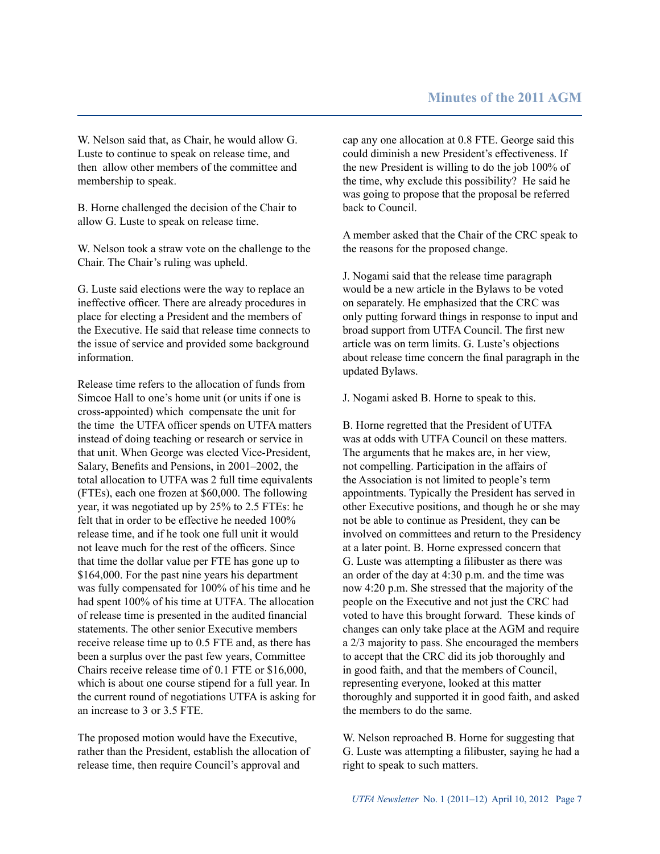W. Nelson said that, as Chair, he would allow G. Luste to continue to speak on release time, and then allow other members of the committee and membership to speak.

B. Horne challenged the decision of the Chair to allow G. Luste to speak on release time.

W. Nelson took a straw vote on the challenge to the Chair. The Chair's ruling was upheld.

G. Luste said elections were the way to replace an ineffective officer. There are already procedures in place for electing a President and the members of the Executive. He said that release time connects to the issue of service and provided some background information.

Release time refers to the allocation of funds from Simcoe Hall to one's home unit (or units if one is cross-appointed) which compensate the unit for the time the UTFA officer spends on UTFA matters instead of doing teaching or research or service in that unit. When George was elected Vice-President, Salary, Benefits and Pensions, in 2001–2002, the total allocation to UTFA was 2 full time equivalents (FTEs), each one frozen at \$60,000. The following year, it was negotiated up by 25% to 2.5 FTEs: he felt that in order to be effective he needed 100% release time, and if he took one full unit it would not leave much for the rest of the officers. Since that time the dollar value per FTE has gone up to \$164,000. For the past nine years his department was fully compensated for 100% of his time and he had spent 100% of his time at UTFA. The allocation of release time is presented in the audited financial statements. The other senior Executive members receive release time up to 0.5 FTE and, as there has been a surplus over the past few years, Committee Chairs receive release time of 0.1 FTE or \$16,000, which is about one course stipend for a full year. In the current round of negotiations UTFA is asking for an increase to 3 or 3.5 FTE.

The proposed motion would have the Executive, rather than the President, establish the allocation of release time, then require Council's approval and

cap any one allocation at 0.8 FTE. George said this could diminish a new President's effectiveness. If the new President is willing to do the job 100% of the time, why exclude this possibility? He said he was going to propose that the proposal be referred back to Council.

A member asked that the Chair of the CRC speak to the reasons for the proposed change.

J. Nogami said that the release time paragraph would be a new article in the Bylaws to be voted on separately. He emphasized that the CRC was only putting forward things in response to input and broad support from UTFA Council. The first new article was on term limits. G. Luste's objections about release time concern the final paragraph in the updated Bylaws.

J. Nogami asked B. Horne to speak to this.

B. Horne regretted that the President of UTFA was at odds with UTFA Council on these matters. The arguments that he makes are, in her view, not compelling. Participation in the affairs of the Association is not limited to people's term appointments. Typically the President has served in other Executive positions, and though he or she may not be able to continue as President, they can be involved on committees and return to the Presidency at a later point. B. Horne expressed concern that G. Luste was attempting a filibuster as there was an order of the day at 4:30 p.m. and the time was now 4:20 p.m. She stressed that the majority of the people on the Executive and not just the CRC had voted to have this brought forward. These kinds of changes can only take place at the AGM and require a 2/3 majority to pass. She encouraged the members to accept that the CRC did its job thoroughly and in good faith, and that the members of Council, representing everyone, looked at this matter thoroughly and supported it in good faith, and asked the members to do the same.

W. Nelson reproached B. Horne for suggesting that G. Luste was attempting a filibuster, saying he had a right to speak to such matters.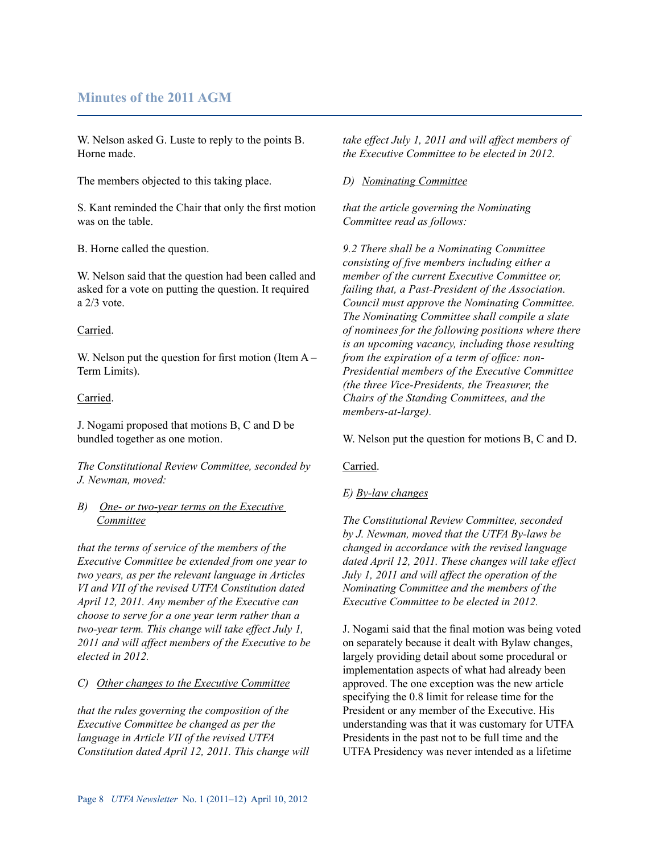W. Nelson asked G. Luste to reply to the points B. Horne made.

The members objected to this taking place.

S. Kant reminded the Chair that only the first motion was on the table.

B. Horne called the question.

W. Nelson said that the question had been called and asked for a vote on putting the question. It required a 2/3 vote.

### Carried.

W. Nelson put the question for first motion (Item A – Term Limits).

### Carried.

J. Nogami proposed that motions B, C and D be bundled together as one motion.

*The Constitutional Review Committee, seconded by J. Newman, moved:*

### *B) One- or two-year terms on the Executive Committee*

*that the terms of service of the members of the Executive Committee be extended from one year to two years, as per the relevant language in Articles VI and VII of the revised UTFA Constitution dated April 12, 2011. Any member of the Executive can choose to serve for a one year term rather than a two-year term. This change will take effect July 1, 2011 and will affect members of the Executive to be elected in 2012.*

### *C) Other changes to the Executive Committee*

*that the rules governing the composition of the Executive Committee be changed as per the language in Article VII of the revised UTFA Constitution dated April 12, 2011. This change will*  *take effect July 1, 2011 and will affect members of the Executive Committee to be elected in 2012.*

*D) Nominating Committee*

*that the article governing the Nominating Committee read as follows:*

*9.2 There shall be a Nominating Committee consisting of five members including either a member of the current Executive Committee or, failing that, a Past-President of the Association. Council must approve the Nominating Committee. The Nominating Committee shall compile a slate of nominees for the following positions where there is an upcoming vacancy, including those resulting from the expiration of a term of office: non-Presidential members of the Executive Committee (the three Vice-Presidents, the Treasurer, the Chairs of the Standing Committees, and the members-at-large).*

W. Nelson put the question for motions B, C and D.

Carried.

## *E) By-law changes*

*The Constitutional Review Committee, seconded by J. Newman, moved that the UTFA By-laws be changed in accordance with the revised language dated April 12, 2011. These changes will take effect July 1, 2011 and will affect the operation of the Nominating Committee and the members of the Executive Committee to be elected in 2012.*

J. Nogami said that the final motion was being voted on separately because it dealt with Bylaw changes, largely providing detail about some procedural or implementation aspects of what had already been approved. The one exception was the new article specifying the 0.8 limit for release time for the President or any member of the Executive. His understanding was that it was customary for UTFA Presidents in the past not to be full time and the UTFA Presidency was never intended as a lifetime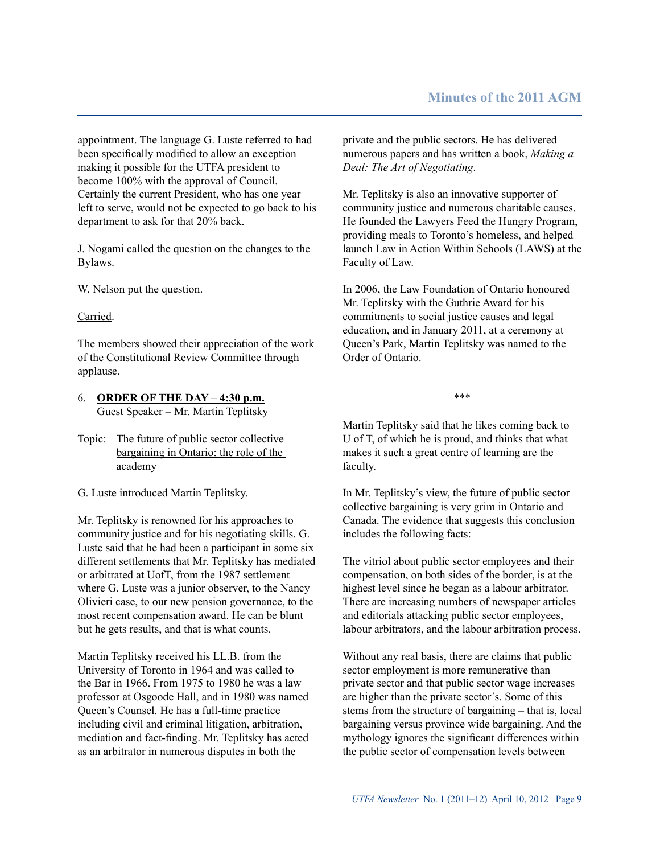appointment. The language G. Luste referred to had been specifically modified to allow an exception making it possible for the UTFA president to become 100% with the approval of Council. Certainly the current President, who has one year left to serve, would not be expected to go back to his department to ask for that 20% back.

J. Nogami called the question on the changes to the Bylaws.

W. Nelson put the question.

## Carried.

The members showed their appreciation of the work of the Constitutional Review Committee through applause.

## 6. **ORDER OF THE DAY – 4:30 p.m.** Guest Speaker – Mr. Martin Teplitsky

Topic: The future of public sector collective bargaining in Ontario: the role of the academy

G. Luste introduced Martin Teplitsky.

Mr. Teplitsky is renowned for his approaches to community justice and for his negotiating skills. G. Luste said that he had been a participant in some six different settlements that Mr. Teplitsky has mediated or arbitrated at UofT, from the 1987 settlement where G. Luste was a junior observer, to the Nancy Olivieri case, to our new pension governance, to the most recent compensation award. He can be blunt but he gets results, and that is what counts.

Martin Teplitsky received his LL.B. from the University of Toronto in 1964 and was called to the Bar in 1966. From 1975 to 1980 he was a law professor at Osgoode Hall, and in 1980 was named Queen's Counsel. He has a full-time practice including civil and criminal litigation, arbitration, mediation and fact-finding. Mr. Teplitsky has acted as an arbitrator in numerous disputes in both the

private and the public sectors. He has delivered numerous papers and has written a book, *Making a Deal: The Art of Negotiating*.

Mr. Teplitsky is also an innovative supporter of community justice and numerous charitable causes. He founded the Lawyers Feed the Hungry Program, providing meals to Toronto's homeless, and helped launch Law in Action Within Schools (LAWS) at the Faculty of Law.

In 2006, the Law Foundation of Ontario honoured Mr. Teplitsky with the Guthrie Award for his commitments to social justice causes and legal education, and in January 2011, at a ceremony at Queen's Park, Martin Teplitsky was named to the Order of Ontario.

\*\*\*

Martin Teplitsky said that he likes coming back to U of T, of which he is proud, and thinks that what makes it such a great centre of learning are the faculty.

In Mr. Teplitsky's view, the future of public sector collective bargaining is very grim in Ontario and Canada. The evidence that suggests this conclusion includes the following facts:

The vitriol about public sector employees and their compensation, on both sides of the border, is at the highest level since he began as a labour arbitrator. There are increasing numbers of newspaper articles and editorials attacking public sector employees, labour arbitrators, and the labour arbitration process.

Without any real basis, there are claims that public sector employment is more remunerative than private sector and that public sector wage increases are higher than the private sector's. Some of this stems from the structure of bargaining – that is, local bargaining versus province wide bargaining. And the mythology ignores the significant differences within the public sector of compensation levels between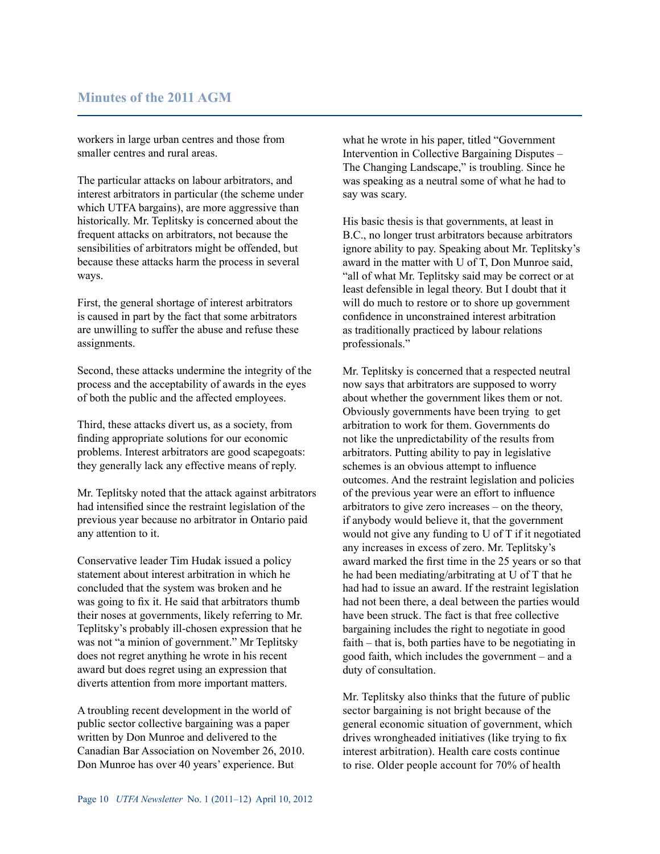workers in large urban centres and those from smaller centres and rural areas.

The particular attacks on labour arbitrators, and interest arbitrators in particular (the scheme under which UTFA bargains), are more aggressive than historically. Mr. Teplitsky is concerned about the frequent attacks on arbitrators, not because the sensibilities of arbitrators might be offended, but because these attacks harm the process in several ways.

First, the general shortage of interest arbitrators is caused in part by the fact that some arbitrators are unwilling to suffer the abuse and refuse these assignments.

Second, these attacks undermine the integrity of the process and the acceptability of awards in the eyes of both the public and the affected employees.

Third, these attacks divert us, as a society, from finding appropriate solutions for our economic problems. Interest arbitrators are good scapegoats: they generally lack any effective means of reply.

Mr. Teplitsky noted that the attack against arbitrators had intensified since the restraint legislation of the previous year because no arbitrator in Ontario paid any attention to it.

Conservative leader Tim Hudak issued a policy statement about interest arbitration in which he concluded that the system was broken and he was going to fix it. He said that arbitrators thumb their noses at governments, likely referring to Mr. Teplitsky's probably ill-chosen expression that he was not "a minion of government." Mr Teplitsky does not regret anything he wrote in his recent award but does regret using an expression that diverts attention from more important matters.

A troubling recent development in the world of public sector collective bargaining was a paper written by Don Munroe and delivered to the Canadian Bar Association on November 26, 2010. Don Munroe has over 40 years' experience. But

what he wrote in his paper, titled "Government Intervention in Collective Bargaining Disputes – The Changing Landscape," is troubling. Since he was speaking as a neutral some of what he had to say was scary.

His basic thesis is that governments, at least in B.C., no longer trust arbitrators because arbitrators ignore ability to pay. Speaking about Mr. Teplitsky's award in the matter with U of T, Don Munroe said, "all of what Mr. Teplitsky said may be correct or at least defensible in legal theory. But I doubt that it will do much to restore or to shore up government confidence in unconstrained interest arbitration as traditionally practiced by labour relations professionals."

Mr. Teplitsky is concerned that a respected neutral now says that arbitrators are supposed to worry about whether the government likes them or not. Obviously governments have been trying to get arbitration to work for them. Governments do not like the unpredictability of the results from arbitrators. Putting ability to pay in legislative schemes is an obvious attempt to influence outcomes. And the restraint legislation and policies of the previous year were an effort to influence arbitrators to give zero increases – on the theory, if anybody would believe it, that the government would not give any funding to U of T if it negotiated any increases in excess of zero. Mr. Teplitsky's award marked the first time in the 25 years or so that he had been mediating/arbitrating at U of T that he had had to issue an award. If the restraint legislation had not been there, a deal between the parties would have been struck. The fact is that free collective bargaining includes the right to negotiate in good faith – that is, both parties have to be negotiating in good faith, which includes the government – and a duty of consultation.

Mr. Teplitsky also thinks that the future of public sector bargaining is not bright because of the general economic situation of government, which drives wrongheaded initiatives (like trying to fix interest arbitration). Health care costs continue to rise. Older people account for 70% of health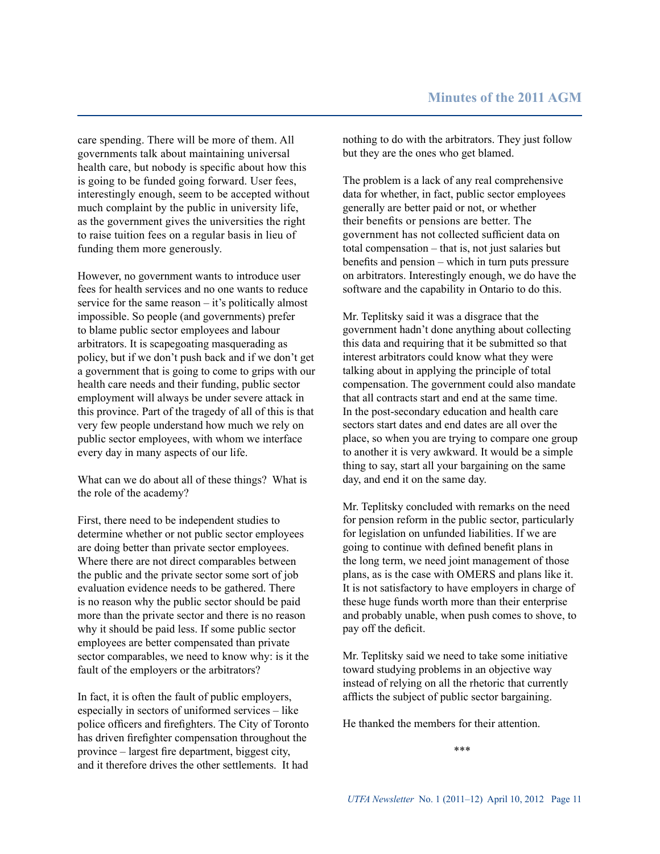care spending. There will be more of them. All governments talk about maintaining universal health care, but nobody is specific about how this is going to be funded going forward. User fees, interestingly enough, seem to be accepted without much complaint by the public in university life, as the government gives the universities the right to raise tuition fees on a regular basis in lieu of funding them more generously.

However, no government wants to introduce user fees for health services and no one wants to reduce service for the same reason – it's politically almost impossible. So people (and governments) prefer to blame public sector employees and labour arbitrators. It is scapegoating masquerading as policy, but if we don't push back and if we don't get a government that is going to come to grips with our health care needs and their funding, public sector employment will always be under severe attack in this province. Part of the tragedy of all of this is that very few people understand how much we rely on public sector employees, with whom we interface every day in many aspects of our life.

What can we do about all of these things? What is the role of the academy?

First, there need to be independent studies to determine whether or not public sector employees are doing better than private sector employees. Where there are not direct comparables between the public and the private sector some sort of job evaluation evidence needs to be gathered. There is no reason why the public sector should be paid more than the private sector and there is no reason why it should be paid less. If some public sector employees are better compensated than private sector comparables, we need to know why: is it the fault of the employers or the arbitrators?

In fact, it is often the fault of public employers, especially in sectors of uniformed services – like police officers and firefighters. The City of Toronto has driven firefighter compensation throughout the province – largest fire department, biggest city, and it therefore drives the other settlements. It had nothing to do with the arbitrators. They just follow but they are the ones who get blamed.

The problem is a lack of any real comprehensive data for whether, in fact, public sector employees generally are better paid or not, or whether their benefits or pensions are better. The government has not collected sufficient data on total compensation – that is, not just salaries but benefits and pension – which in turn puts pressure on arbitrators. Interestingly enough, we do have the software and the capability in Ontario to do this.

Mr. Teplitsky said it was a disgrace that the government hadn't done anything about collecting this data and requiring that it be submitted so that interest arbitrators could know what they were talking about in applying the principle of total compensation. The government could also mandate that all contracts start and end at the same time. In the post-secondary education and health care sectors start dates and end dates are all over the place, so when you are trying to compare one group to another it is very awkward. It would be a simple thing to say, start all your bargaining on the same day, and end it on the same day.

Mr. Teplitsky concluded with remarks on the need for pension reform in the public sector, particularly for legislation on unfunded liabilities. If we are going to continue with defined benefit plans in the long term, we need joint management of those plans, as is the case with OMERS and plans like it. It is not satisfactory to have employers in charge of these huge funds worth more than their enterprise and probably unable, when push comes to shove, to pay off the deficit.

Mr. Teplitsky said we need to take some initiative toward studying problems in an objective way instead of relying on all the rhetoric that currently afflicts the subject of public sector bargaining.

He thanked the members for their attention.

\*\*\*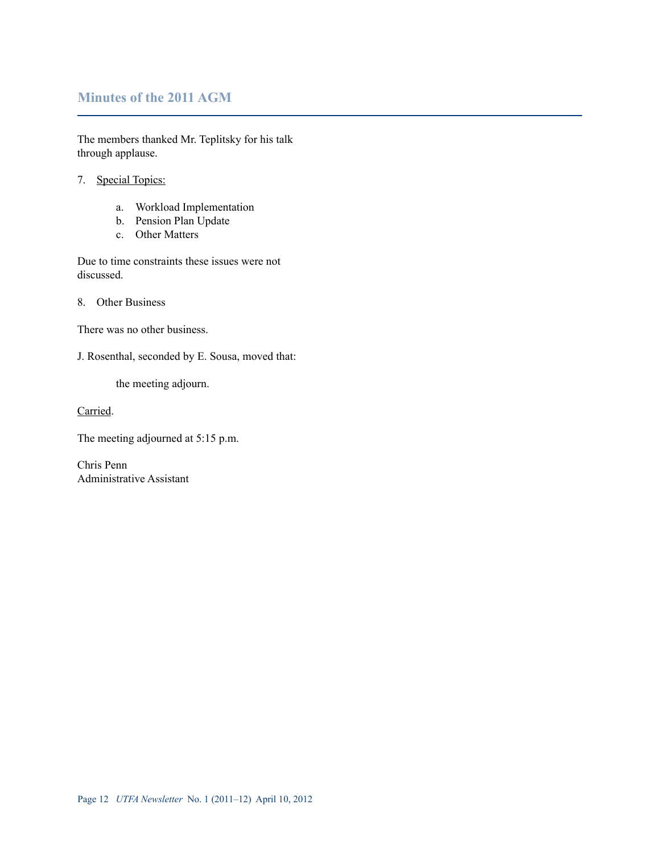The members thanked Mr. Teplitsky for his talk through applause.

- 7. Special Topics:
	- a. Workload Implementation
	- b. Pension Plan Update
	- c. Other Matters

Due to time constraints these issues were not discussed.

8. Other Business

There was no other business.

J. Rosenthal, seconded by E. Sousa, moved that:

the meeting adjourn.

Carried.

The meeting adjourned at 5:15 p.m.

Chris Penn Administrative Assistant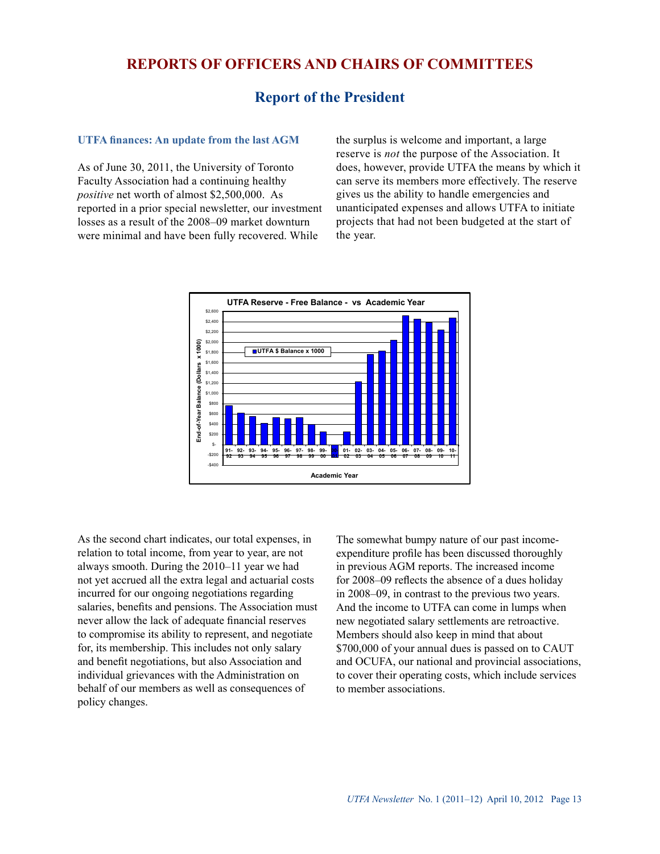## **Reports of Officers and Chairs of Committees**

## **Report of the President**

#### **UTFA finances: An update from the last AGM**

As of June 30, 2011, the University of Toronto Faculty Association had a continuing healthy *positive* net worth of almost \$2,500,000. As reported in a prior special newsletter, our investment losses as a result of the 2008–09 market downturn were minimal and have been fully recovered. While

the surplus is welcome and important, a large reserve is *not* the purpose of the Association. It does, however, provide UTFA the means by which it can serve its members more effectively. The reserve gives us the ability to handle emergencies and unanticipated expenses and allows UTFA to initiate projects that had not been budgeted at the start of the year.



As the second chart indicates, our total expenses, in relation to total income, from year to year, are not always smooth. During the 2010–11 year we had not yet accrued all the extra legal and actuarial costs incurred for our ongoing negotiations regarding salaries, benefits and pensions. The Association must never allow the lack of adequate financial reserves to compromise its ability to represent, and negotiate for, its membership. This includes not only salary and benefit negotiations, but also Association and individual grievances with the Administration on behalf of our members as well as consequences of policy changes.

The somewhat bumpy nature of our past incomeexpenditure profile has been discussed thoroughly in previous AGM reports. The increased income for 2008–09 reflects the absence of a dues holiday in 2008–09, in contrast to the previous two years. And the income to UTFA can come in lumps when new negotiated salary settlements are retroactive. Members should also keep in mind that about \$700,000 of your annual dues is passed on to CAUT and OCUFA, our national and provincial associations, to cover their operating costs, which include services to member associations.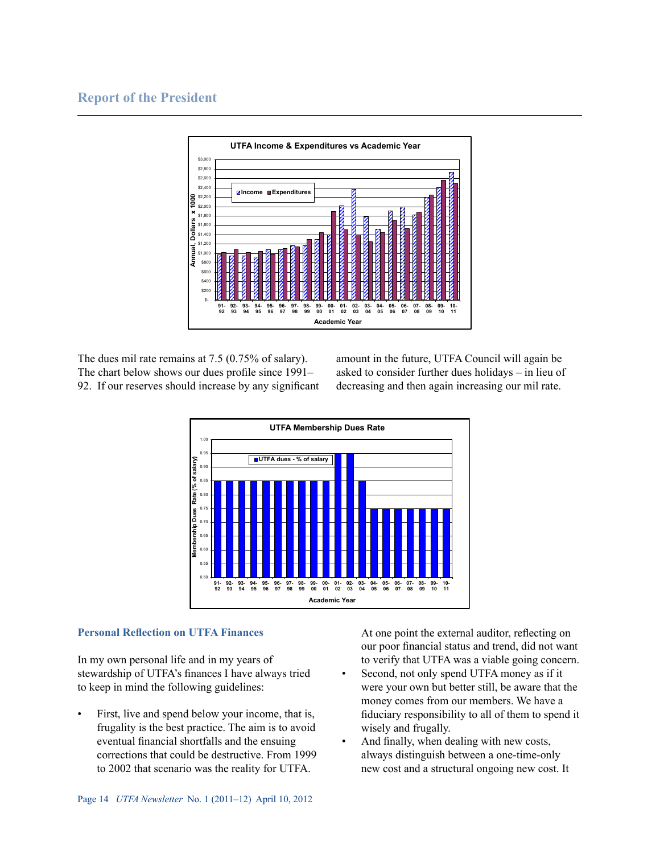## **Report of the President**



The dues mil rate remains at 7.5 (0.75% of salary). The chart below shows our dues profile since 1991– 92. If our reserves should increase by any significant amount in the future, UTFA Council will again be asked to consider further dues holidays – in lieu of decreasing and then again increasing our mil rate.



### **Personal Reflection on UTFA Finances**

In my own personal life and in my years of stewardship of UTFA's finances I have always tried to keep in mind the following guidelines:

First, live and spend below your income, that is, frugality is the best practice. The aim is to avoid eventual financial shortfalls and the ensuing corrections that could be destructive. From 1999 to 2002 that scenario was the reality for UTFA.

At one point the external auditor, reflecting on our poor financial status and trend, did not want to verify that UTFA was a viable going concern.

- Second, not only spend UTFA money as if it were your own but better still, be aware that the money comes from our members. We have a fiduciary responsibility to all of them to spend it wisely and frugally.
- And finally, when dealing with new costs, always distinguish between a one-time-only new cost and a structural ongoing new cost. It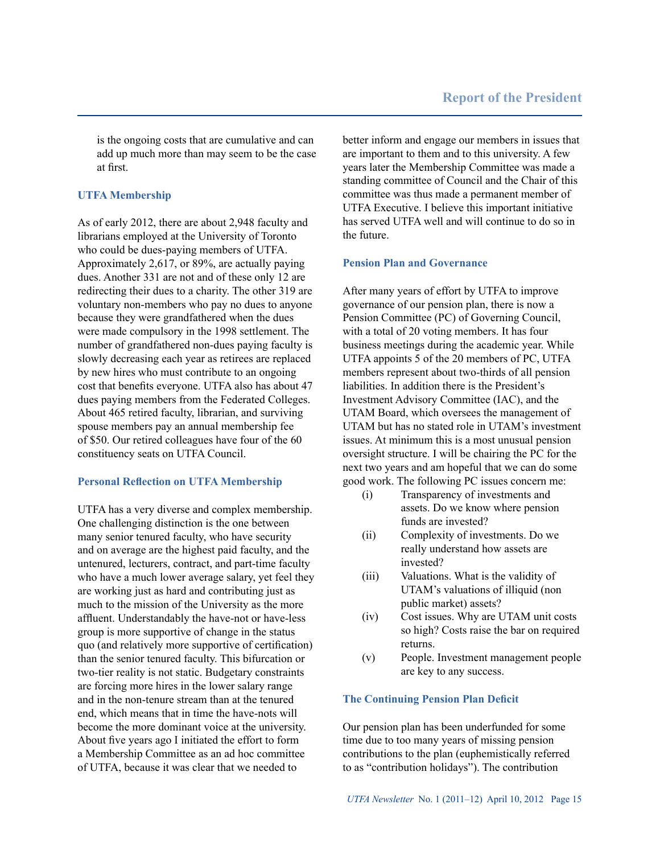is the ongoing costs that are cumulative and can add up much more than may seem to be the case at first.

## **UTFA Membership**

As of early 2012, there are about 2,948 faculty and librarians employed at the University of Toronto who could be dues-paying members of UTFA. Approximately 2,617, or 89%, are actually paying dues. Another 331 are not and of these only 12 are redirecting their dues to a charity. The other 319 are voluntary non-members who pay no dues to anyone because they were grandfathered when the dues were made compulsory in the 1998 settlement. The number of grandfathered non-dues paying faculty is slowly decreasing each year as retirees are replaced by new hires who must contribute to an ongoing cost that benefits everyone. UTFA also has about 47 dues paying members from the Federated Colleges. About 465 retired faculty, librarian, and surviving spouse members pay an annual membership fee of \$50. Our retired colleagues have four of the 60 constituency seats on UTFA Council.

## **Personal Reflection on UTFA Membership**

UTFA has a very diverse and complex membership. One challenging distinction is the one between many senior tenured faculty, who have security and on average are the highest paid faculty, and the untenured, lecturers, contract, and part-time faculty who have a much lower average salary, yet feel they are working just as hard and contributing just as much to the mission of the University as the more affluent. Understandably the have-not or have-less group is more supportive of change in the status quo (and relatively more supportive of certification) than the senior tenured faculty. This bifurcation or two-tier reality is not static. Budgetary constraints are forcing more hires in the lower salary range and in the non-tenure stream than at the tenured end, which means that in time the have-nots will become the more dominant voice at the university. About five years ago I initiated the effort to form a Membership Committee as an ad hoc committee of UTFA, because it was clear that we needed to

better inform and engage our members in issues that are important to them and to this university. A few years later the Membership Committee was made a standing committee of Council and the Chair of this committee was thus made a permanent member of UTFA Executive. I believe this important initiative has served UTFA well and will continue to do so in the future.

## **Pension Plan and Governance**

After many years of effort by UTFA to improve governance of our pension plan, there is now a Pension Committee (PC) of Governing Council, with a total of 20 voting members. It has four business meetings during the academic year. While UTFA appoints 5 of the 20 members of PC, UTFA members represent about two-thirds of all pension liabilities. In addition there is the President's Investment Advisory Committee (IAC), and the UTAM Board, which oversees the management of UTAM but has no stated role in UTAM's investment issues. At minimum this is a most unusual pension oversight structure. I will be chairing the PC for the next two years and am hopeful that we can do some good work. The following PC issues concern me:

- (i) Transparency of investments and assets. Do we know where pension funds are invested?
- (ii) Complexity of investments. Do we really understand how assets are invested?
- (iii) Valuations. What is the validity of UTAM's valuations of illiquid (non public market) assets?
- (iv) Cost issues. Why are UTAM unit costs so high? Costs raise the bar on required returns.
- (v) People. Investment management people are key to any success.

### **The Continuing Pension Plan Deficit**

Our pension plan has been underfunded for some time due to too many years of missing pension contributions to the plan (euphemistically referred to as "contribution holidays"). The contribution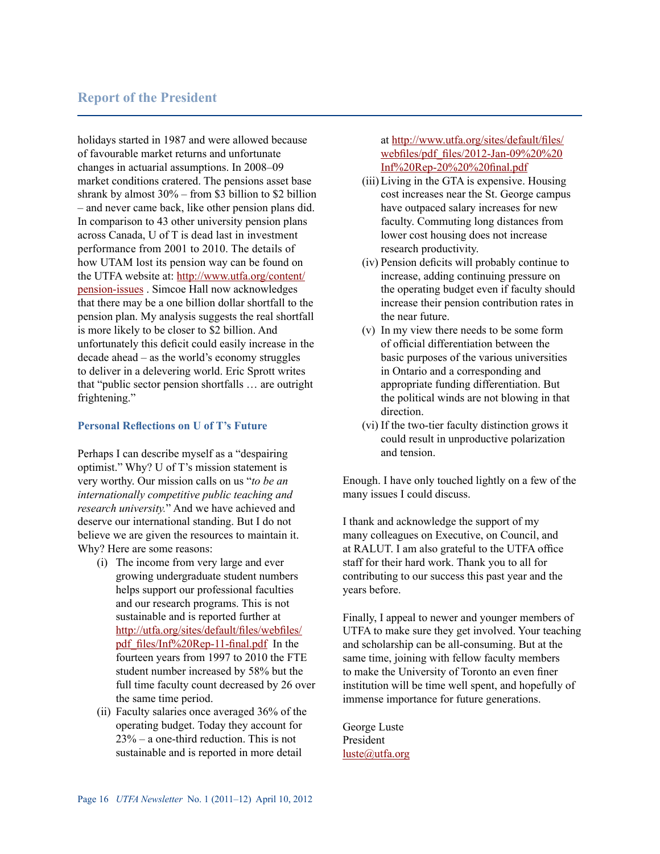## **Report of the President**

holidays started in 1987 and were allowed because of favourable market returns and unfortunate changes in actuarial assumptions. In 2008–09 market conditions cratered. The pensions asset base shrank by almost 30% – from \$3 billion to \$2 billion – and never came back, like other pension plans did. In comparison to 43 other university pension plans across Canada, U of T is dead last in investment performance from 2001 to 2010. The details of how UTAM lost its pension way can be found on the UTFA website at: [http://www.utfa.org/content/](http://www.utfa.org/content/pension-issues) [pension-issues](http://www.utfa.org/content/pension-issues) . Simcoe Hall now acknowledges that there may be a one billion dollar shortfall to the pension plan. My analysis suggests the real shortfall is more likely to be closer to \$2 billion. And unfortunately this deficit could easily increase in the decade ahead – as the world's economy struggles to deliver in a delevering world. Eric Sprott writes that "public sector pension shortfalls … are outright frightening."

## **Personal Reflections on U of T's Future**

Perhaps I can describe myself as a "despairing optimist." Why? U of T's mission statement is very worthy. Our mission calls on us "*to be an internationally competitive public teaching and research university.*" And we have achieved and deserve our international standing. But I do not believe we are given the resources to maintain it. Why? Here are some reasons:

- (i) The income from very large and ever growing undergraduate student numbers helps support our professional faculties and our research programs. This is not sustainable and is reported further at [http://utfa.org/sites/default/files/webfiles/](http://utfa.org/sites/default/files/webfiles/pdf_files/Inf%20Rep-11-final.pdf) [pdf\\_files/Inf%20Rep-11-final.pdf](http://utfa.org/sites/default/files/webfiles/pdf_files/Inf%20Rep-11-final.pdf) In the fourteen years from 1997 to 2010 the FTE student number increased by 58% but the full time faculty count decreased by 26 over the same time period.
- (ii) Faculty salaries once averaged 36% of the operating budget. Today they account for 23% – a one-third reduction. This is not sustainable and is reported in more detail

at [http://www.utfa.org/sites/default/files/](http://www.utfa.org/sites/default/files/webfiles/pdf_files/2012-Jan-09%20%20Inf%20Rep-20%20%20final.pdf) [webfiles/pdf\\_files/2012-Jan-09%20%20](http://www.utfa.org/sites/default/files/webfiles/pdf_files/2012-Jan-09%20%20Inf%20Rep-20%20%20final.pdf) [Inf%20Rep-20%20%20final.pdf](http://www.utfa.org/sites/default/files/webfiles/pdf_files/2012-Jan-09%20%20Inf%20Rep-20%20%20final.pdf)

- (iii) Living in the GTA is expensive. Housing cost increases near the St. George campus have outpaced salary increases for new faculty. Commuting long distances from lower cost housing does not increase research productivity.
- (iv) Pension deficits will probably continue to increase, adding continuing pressure on the operating budget even if faculty should increase their pension contribution rates in the near future.
- (v) In my view there needs to be some form of official differentiation between the basic purposes of the various universities in Ontario and a corresponding and appropriate funding differentiation. But the political winds are not blowing in that direction.
- (vi) If the two-tier faculty distinction grows it could result in unproductive polarization and tension.

Enough. I have only touched lightly on a few of the many issues I could discuss.

I thank and acknowledge the support of my many colleagues on Executive, on Council, and at RALUT. I am also grateful to the UTFA office staff for their hard work. Thank you to all for contributing to our success this past year and the years before.

Finally, I appeal to newer and younger members of UTFA to make sure they get involved. Your teaching and scholarship can be all-consuming. But at the same time, joining with fellow faculty members to make the University of Toronto an even finer institution will be time well spent, and hopefully of immense importance for future generations.

George Luste President [luste@utfa.org](mailto:luste@utfa.org)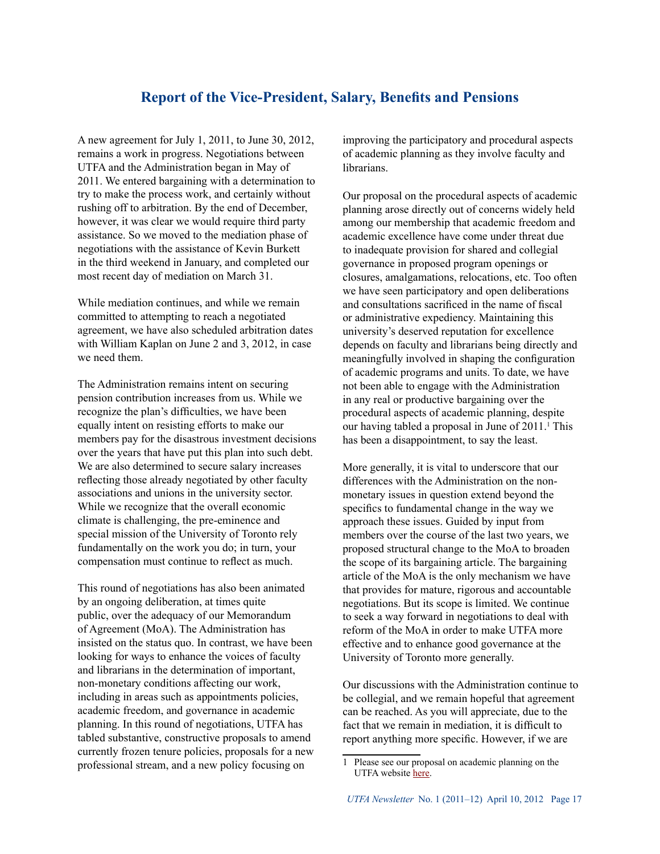## **Report of the Vice-President, Salary, Benefits and Pensions**

A new agreement for July 1, 2011, to June 30, 2012, remains a work in progress. Negotiations between UTFA and the Administration began in May of 2011. We entered bargaining with a determination to try to make the process work, and certainly without rushing off to arbitration. By the end of December, however, it was clear we would require third party assistance. So we moved to the mediation phase of negotiations with the assistance of Kevin Burkett in the third weekend in January, and completed our most recent day of mediation on March 31.

While mediation continues, and while we remain committed to attempting to reach a negotiated agreement, we have also scheduled arbitration dates with William Kaplan on June 2 and 3, 2012, in case we need them.

The Administration remains intent on securing pension contribution increases from us. While we recognize the plan's difficulties, we have been equally intent on resisting efforts to make our members pay for the disastrous investment decisions over the years that have put this plan into such debt. We are also determined to secure salary increases reflecting those already negotiated by other faculty associations and unions in the university sector. While we recognize that the overall economic climate is challenging, the pre-eminence and special mission of the University of Toronto rely fundamentally on the work you do; in turn, your compensation must continue to reflect as much.

This round of negotiations has also been animated by an ongoing deliberation, at times quite public, over the adequacy of our Memorandum of Agreement (MoA). The Administration has insisted on the status quo. In contrast, we have been looking for ways to enhance the voices of faculty and librarians in the determination of important, non-monetary conditions affecting our work, including in areas such as appointments policies, academic freedom, and governance in academic planning. In this round of negotiations, UTFA has tabled substantive, constructive proposals to amend currently frozen tenure policies, proposals for a new professional stream, and a new policy focusing on

improving the participatory and procedural aspects of academic planning as they involve faculty and librarians.

Our proposal on the procedural aspects of academic planning arose directly out of concerns widely held among our membership that academic freedom and academic excellence have come under threat due to inadequate provision for shared and collegial governance in proposed program openings or closures, amalgamations, relocations, etc. Too often we have seen participatory and open deliberations and consultations sacrificed in the name of fiscal or administrative expediency. Maintaining this university's deserved reputation for excellence depends on faculty and librarians being directly and meaningfully involved in shaping the configuration of academic programs and units. To date, we have not been able to engage with the Administration in any real or productive bargaining over the procedural aspects of academic planning, despite our having tabled a proposal in June of 2011.<sup>1</sup> This has been a disappointment, to say the least.

More generally, it is vital to underscore that our differences with the Administration on the nonmonetary issues in question extend beyond the specifics to fundamental change in the way we approach these issues. Guided by input from members over the course of the last two years, we proposed structural change to the MoA to broaden the scope of its bargaining article. The bargaining article of the MoA is the only mechanism we have that provides for mature, rigorous and accountable negotiations. But its scope is limited. We continue to seek a way forward in negotiations to deal with reform of the MoA in order to make UTFA more effective and to enhance good governance at the University of Toronto more generally.

Our discussions with the Administration continue to be collegial, and we remain hopeful that agreement can be reached. As you will appreciate, due to the fact that we remain in mediation, it is difficult to report anything more specific. However, if we are

<sup>1</sup> Please see our proposal on academic planning on the UTFA website [here.](http://www.utfa.org/sites/default/files/webfiles/pdf_files/2011-June-22%20SB&P%20UTFA%20Proposal%20on%20Governance%20in%20Academic%20Planning.pdf)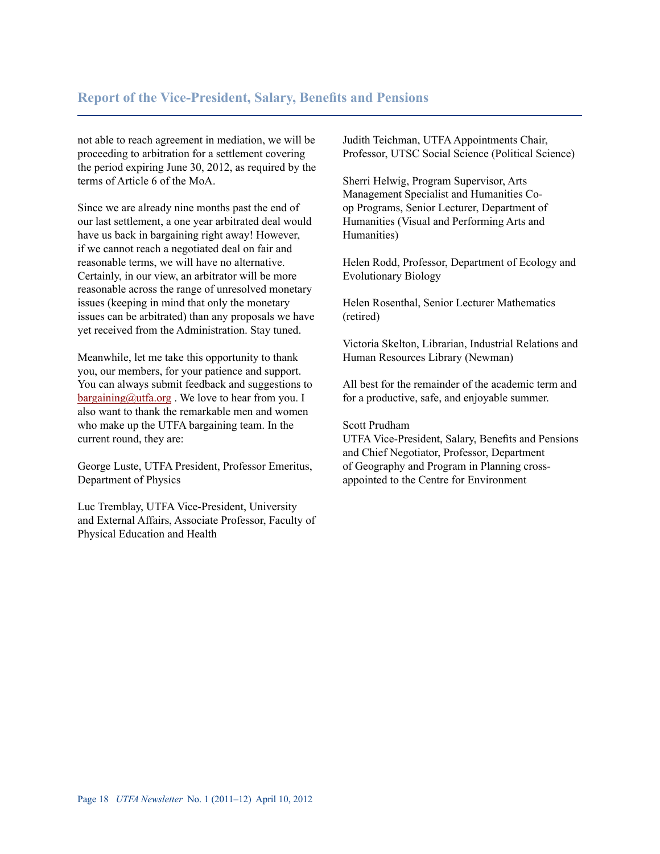not able to reach agreement in mediation, we will be proceeding to arbitration for a settlement covering the period expiring June 30, 2012, as required by the terms of Article 6 of the MoA.

Since we are already nine months past the end of our last settlement, a one year arbitrated deal would have us back in bargaining right away! However, if we cannot reach a negotiated deal on fair and reasonable terms, we will have no alternative. Certainly, in our view, an arbitrator will be more reasonable across the range of unresolved monetary issues (keeping in mind that only the monetary issues can be arbitrated) than any proposals we have yet received from the Administration. Stay tuned.

Meanwhile, let me take this opportunity to thank you, our members, for your patience and support. You can always submit feedback and suggestions to [bargaining@utfa.org](mailto:bargaining@utfa.org). We love to hear from you. I also want to thank the remarkable men and women who make up the UTFA bargaining team. In the current round, they are:

George Luste, UTFA President, Professor Emeritus, Department of Physics

Luc Tremblay, UTFA Vice-President, University and External Affairs, Associate Professor, Faculty of Physical Education and Health

Judith Teichman, UTFA Appointments Chair, Professor, UTSC Social Science (Political Science)

Sherri Helwig, Program Supervisor, Arts Management Specialist and Humanities Coop Programs, Senior Lecturer, Department of Humanities (Visual and Performing Arts and Humanities)

Helen Rodd, Professor, Department of Ecology and Evolutionary Biology

Helen Rosenthal, Senior Lecturer Mathematics (retired)

Victoria Skelton, Librarian, Industrial Relations and Human Resources Library (Newman)

All best for the remainder of the academic term and for a productive, safe, and enjoyable summer.

Scott Prudham

UTFA Vice-President, Salary, Benefits and Pensions and Chief Negotiator, Professor, Department of Geography and Program in Planning crossappointed to the Centre for Environment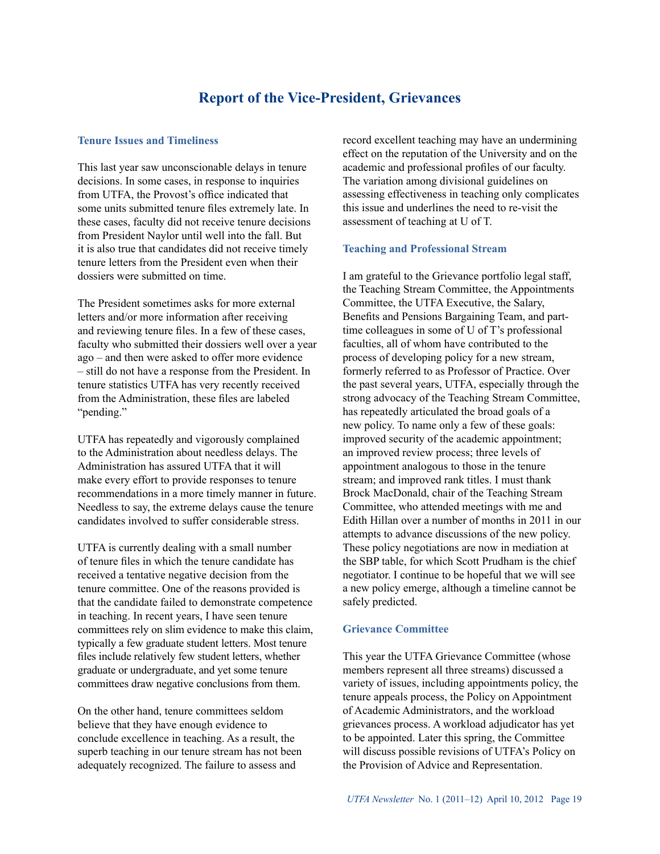## **Report of the Vice-President, Grievances**

### **Tenure Issues and Timeliness**

This last year saw unconscionable delays in tenure decisions. In some cases, in response to inquiries from UTFA, the Provost's office indicated that some units submitted tenure files extremely late. In these cases, faculty did not receive tenure decisions from President Naylor until well into the fall. But it is also true that candidates did not receive timely tenure letters from the President even when their dossiers were submitted on time.

The President sometimes asks for more external letters and/or more information after receiving and reviewing tenure files. In a few of these cases, faculty who submitted their dossiers well over a year ago – and then were asked to offer more evidence – still do not have a response from the President. In tenure statistics UTFA has very recently received from the Administration, these files are labeled "pending."

UTFA has repeatedly and vigorously complained to the Administration about needless delays. The Administration has assured UTFA that it will make every effort to provide responses to tenure recommendations in a more timely manner in future. Needless to say, the extreme delays cause the tenure candidates involved to suffer considerable stress.

UTFA is currently dealing with a small number of tenure files in which the tenure candidate has received a tentative negative decision from the tenure committee. One of the reasons provided is that the candidate failed to demonstrate competence in teaching. In recent years, I have seen tenure committees rely on slim evidence to make this claim, typically a few graduate student letters. Most tenure files include relatively few student letters, whether graduate or undergraduate, and yet some tenure committees draw negative conclusions from them.

On the other hand, tenure committees seldom believe that they have enough evidence to conclude excellence in teaching. As a result, the superb teaching in our tenure stream has not been adequately recognized. The failure to assess and

record excellent teaching may have an undermining effect on the reputation of the University and on the academic and professional profiles of our faculty. The variation among divisional guidelines on assessing effectiveness in teaching only complicates this issue and underlines the need to re-visit the assessment of teaching at U of T.

## **Teaching and Professional Stream**

I am grateful to the Grievance portfolio legal staff, the Teaching Stream Committee, the Appointments Committee, the UTFA Executive, the Salary, Benefits and Pensions Bargaining Team, and parttime colleagues in some of U of T's professional faculties, all of whom have contributed to the process of developing policy for a new stream, formerly referred to as Professor of Practice. Over the past several years, UTFA, especially through the strong advocacy of the Teaching Stream Committee, has repeatedly articulated the broad goals of a new policy. To name only a few of these goals: improved security of the academic appointment; an improved review process; three levels of appointment analogous to those in the tenure stream; and improved rank titles. I must thank Brock MacDonald, chair of the Teaching Stream Committee, who attended meetings with me and Edith Hillan over a number of months in 2011 in our attempts to advance discussions of the new policy. These policy negotiations are now in mediation at the SBP table, for which Scott Prudham is the chief negotiator. I continue to be hopeful that we will see a new policy emerge, although a timeline cannot be safely predicted.

### **Grievance Committee**

This year the UTFA Grievance Committee (whose members represent all three streams) discussed a variety of issues, including appointments policy, the tenure appeals process, the Policy on Appointment of Academic Administrators, and the workload grievances process. A workload adjudicator has yet to be appointed. Later this spring, the Committee will discuss possible revisions of UTFA's Policy on the Provision of Advice and Representation.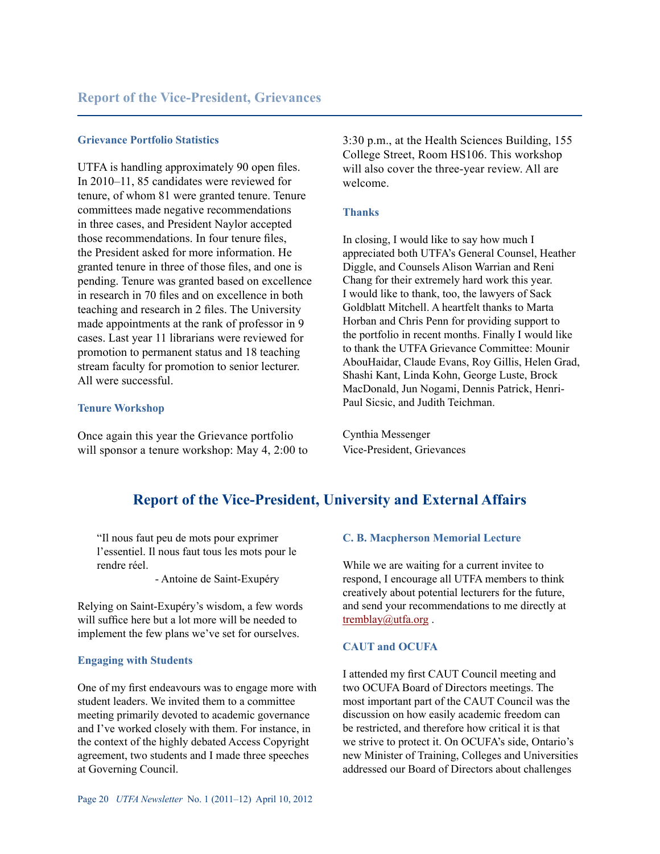### **Grievance Portfolio Statistics**

UTFA is handling approximately 90 open files. In 2010–11, 85 candidates were reviewed for tenure, of whom 81 were granted tenure. Tenure committees made negative recommendations in three cases, and President Naylor accepted those recommendations. In four tenure files, the President asked for more information. He granted tenure in three of those files, and one is pending. Tenure was granted based on excellence in research in 70 files and on excellence in both teaching and research in 2 files. The University made appointments at the rank of professor in 9 cases. Last year 11 librarians were reviewed for promotion to permanent status and 18 teaching stream faculty for promotion to senior lecturer. All were successful.

## **Tenure Workshop**

Once again this year the Grievance portfolio will sponsor a tenure workshop: May 4, 2:00 to 3:30 p.m., at the Health Sciences Building, 155 College Street, Room HS106. This workshop will also cover the three-year review. All are welcome.

#### **Thanks**

In closing, I would like to say how much I appreciated both UTFA's General Counsel, Heather Diggle, and Counsels Alison Warrian and Reni Chang for their extremely hard work this year. I would like to thank, too, the lawyers of Sack Goldblatt Mitchell. A heartfelt thanks to Marta Horban and Chris Penn for providing support to the portfolio in recent months. Finally I would like to thank the UTFA Grievance Committee: Mounir AbouHaidar, Claude Evans, Roy Gillis, Helen Grad, Shashi Kant, Linda Kohn, George Luste, Brock MacDonald, Jun Nogami, Dennis Patrick, Henri-Paul Sicsic, and Judith Teichman.

Cynthia Messenger Vice-President, Grievances

## **Report of the Vice-President, University and External Affairs**

"Il nous faut peu de mots pour exprimer l'essentiel. Il nous faut tous les mots pour le rendre réel.

- Antoine de Saint-Exupéry

Relying on Saint-Exupéry's wisdom, a few words will suffice here but a lot more will be needed to implement the few plans we've set for ourselves.

### **Engaging with Students**

One of my first endeavours was to engage more with student leaders. We invited them to a committee meeting primarily devoted to academic governance and I've worked closely with them. For instance, in the context of the highly debated Access Copyright agreement, two students and I made three speeches at Governing Council.

#### **C. B. Macpherson Memorial Lecture**

While we are waiting for a current invitee to respond, I encourage all UTFA members to think creatively about potential lecturers for the future, and send your recommendations to me directly at tremblay@utfa.org.

### **CAUT and OCUFA**

I attended my first CAUT Council meeting and two OCUFA Board of Directors meetings. The most important part of the CAUT Council was the discussion on how easily academic freedom can be restricted, and therefore how critical it is that we strive to protect it. On OCUFA's side, Ontario's new Minister of Training, Colleges and Universities addressed our Board of Directors about challenges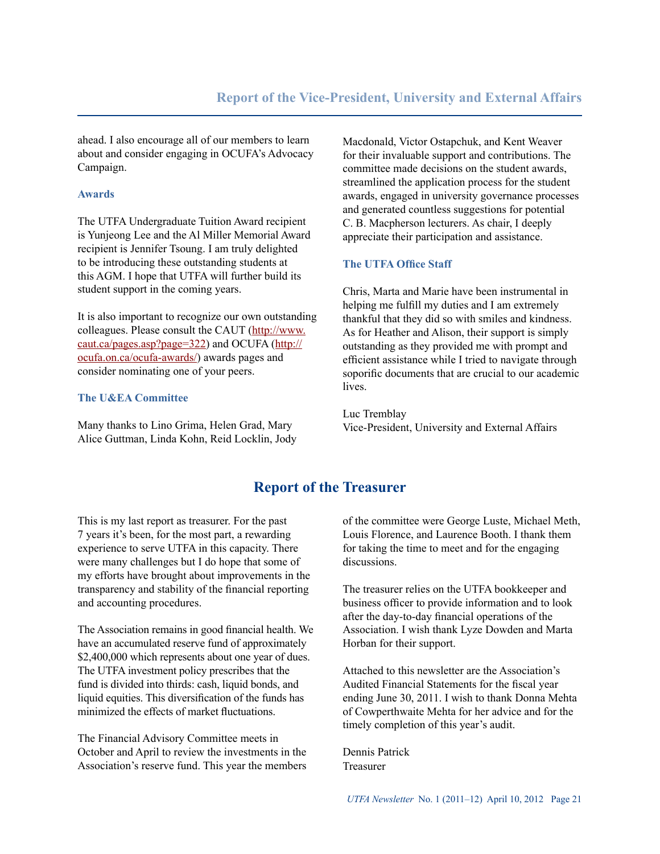ahead. I also encourage all of our members to learn about and consider engaging in OCUFA's Advocacy Campaign.

## **Awards**

The UTFA Undergraduate Tuition Award recipient is Yunjeong Lee and the Al Miller Memorial Award recipient is Jennifer Tsoung. I am truly delighted to be introducing these outstanding students at this AGM. I hope that UTFA will further build its student support in the coming years.

It is also important to recognize our own outstanding colleagues. Please consult the CAUT ([http://www.](http://www.caut.ca/pages.asp?page=322) [caut.ca/pages.asp?page=322](http://www.caut.ca/pages.asp?page=322)) and OCUFA [\(http://](http://ocufa.on.ca/ocufa-awards/) [ocufa.on.ca/ocufa-awards/\)](http://ocufa.on.ca/ocufa-awards/) awards pages and consider nominating one of your peers.

## **The U&EA Committee**

Many thanks to Lino Grima, Helen Grad, Mary Alice Guttman, Linda Kohn, Reid Locklin, Jody Macdonald, Victor Ostapchuk, and Kent Weaver for their invaluable support and contributions. The committee made decisions on the student awards, streamlined the application process for the student awards, engaged in university governance processes and generated countless suggestions for potential C. B. Macpherson lecturers. As chair, I deeply appreciate their participation and assistance.

## **The UTFA Office Staff**

Chris, Marta and Marie have been instrumental in helping me fulfill my duties and I am extremely thankful that they did so with smiles and kindness. As for Heather and Alison, their support is simply outstanding as they provided me with prompt and efficient assistance while I tried to navigate through soporific documents that are crucial to our academic lives.

Luc Tremblay Vice-President, University and External Affairs

## **Report of the Treasurer**

This is my last report as treasurer. For the past 7 years it's been, for the most part, a rewarding experience to serve UTFA in this capacity. There were many challenges but I do hope that some of my efforts have brought about improvements in the transparency and stability of the financial reporting and accounting procedures.

The Association remains in good financial health. We have an accumulated reserve fund of approximately \$2,400,000 which represents about one year of dues. The UTFA investment policy prescribes that the fund is divided into thirds: cash, liquid bonds, and liquid equities. This diversification of the funds has minimized the effects of market fluctuations.

The Financial Advisory Committee meets in October and April to review the investments in the Association's reserve fund. This year the members of the committee were George Luste, Michael Meth, Louis Florence, and Laurence Booth. I thank them for taking the time to meet and for the engaging discussions.

The treasurer relies on the UTFA bookkeeper and business officer to provide information and to look after the day-to-day financial operations of the Association. I wish thank Lyze Dowden and Marta Horban for their support.

Attached to this newsletter are the Association's Audited Financial Statements for the fiscal year ending June 30, 2011. I wish to thank Donna Mehta of Cowperthwaite Mehta for her advice and for the timely completion of this year's audit.

Dennis Patrick Treasurer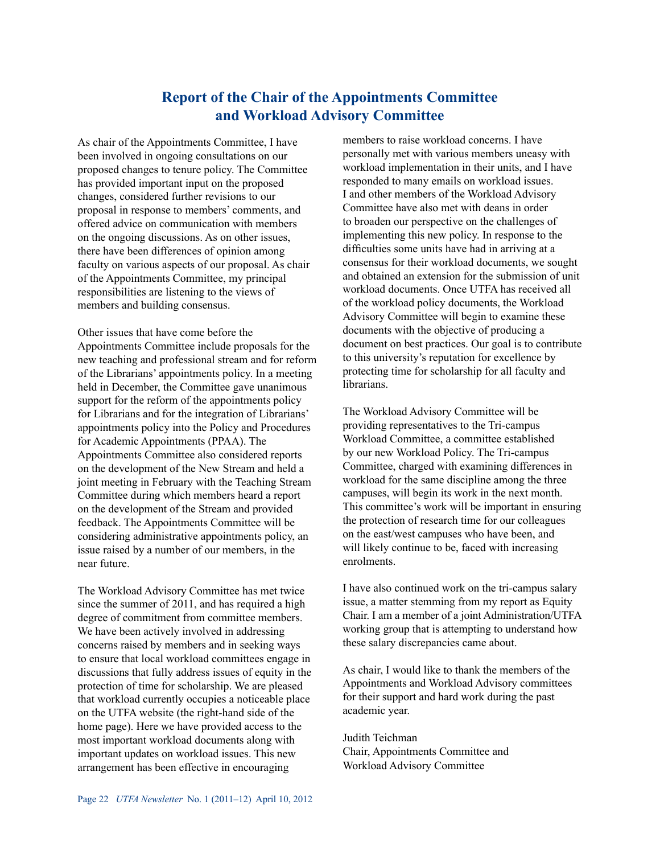## **Report of the Chair of the Appointments Committee and Workload Advisory Committee**

As chair of the Appointments Committee, I have been involved in ongoing consultations on our proposed changes to tenure policy. The Committee has provided important input on the proposed changes, considered further revisions to our proposal in response to members' comments, and offered advice on communication with members on the ongoing discussions. As on other issues, there have been differences of opinion among faculty on various aspects of our proposal. As chair of the Appointments Committee, my principal responsibilities are listening to the views of members and building consensus.

Other issues that have come before the Appointments Committee include proposals for the new teaching and professional stream and for reform of the Librarians' appointments policy. In a meeting held in December, the Committee gave unanimous support for the reform of the appointments policy for Librarians and for the integration of Librarians' appointments policy into the Policy and Procedures for Academic Appointments (PPAA). The Appointments Committee also considered reports on the development of the New Stream and held a joint meeting in February with the Teaching Stream Committee during which members heard a report on the development of the Stream and provided feedback. The Appointments Committee will be considering administrative appointments policy, an issue raised by a number of our members, in the near future.

The Workload Advisory Committee has met twice since the summer of 2011, and has required a high degree of commitment from committee members. We have been actively involved in addressing concerns raised by members and in seeking ways to ensure that local workload committees engage in discussions that fully address issues of equity in the protection of time for scholarship. We are pleased that workload currently occupies a noticeable place on the UTFA website (the right-hand side of the home page). Here we have provided access to the most important workload documents along with important updates on workload issues. This new arrangement has been effective in encouraging

members to raise workload concerns. I have personally met with various members uneasy with workload implementation in their units, and I have responded to many emails on workload issues. I and other members of the Workload Advisory Committee have also met with deans in order to broaden our perspective on the challenges of implementing this new policy. In response to the difficulties some units have had in arriving at a consensus for their workload documents, we sought and obtained an extension for the submission of unit workload documents. Once UTFA has received all of the workload policy documents, the Workload Advisory Committee will begin to examine these documents with the objective of producing a document on best practices. Our goal is to contribute to this university's reputation for excellence by protecting time for scholarship for all faculty and librarians.

The Workload Advisory Committee will be providing representatives to the Tri-campus Workload Committee, a committee established by our new Workload Policy. The Tri-campus Committee, charged with examining differences in workload for the same discipline among the three campuses, will begin its work in the next month. This committee's work will be important in ensuring the protection of research time for our colleagues on the east/west campuses who have been, and will likely continue to be, faced with increasing enrolments.

I have also continued work on the tri-campus salary issue, a matter stemming from my report as Equity Chair. I am a member of a joint Administration/UTFA working group that is attempting to understand how these salary discrepancies came about.

As chair, I would like to thank the members of the Appointments and Workload Advisory committees for their support and hard work during the past academic year.

Judith Teichman Chair, Appointments Committee and Workload Advisory Committee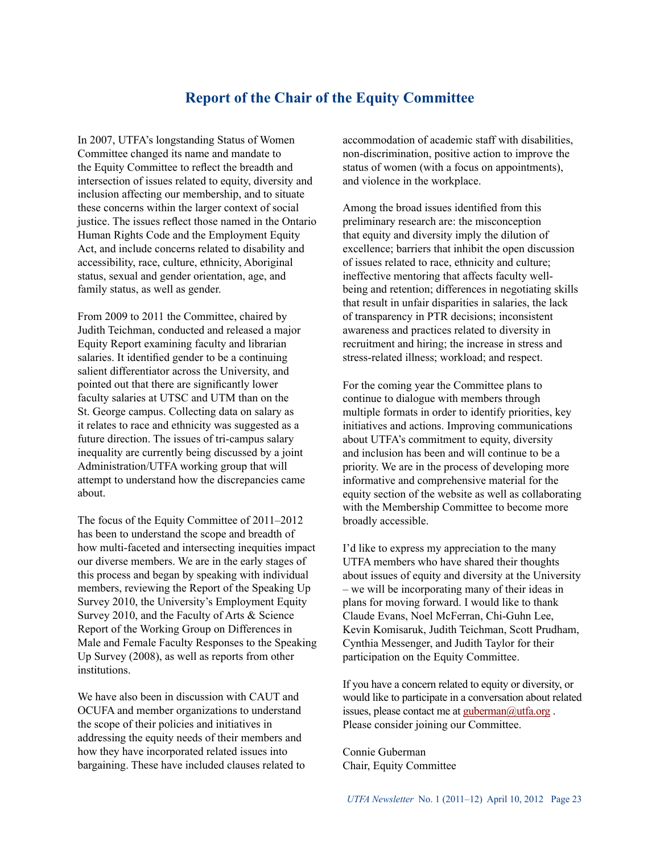## **Report of the Chair of the Equity Committee**

In 2007, UTFA's longstanding Status of Women Committee changed its name and mandate to the Equity Committee to reflect the breadth and intersection of issues related to equity, diversity and inclusion affecting our membership, and to situate these concerns within the larger context of social justice. The issues reflect those named in the Ontario Human Rights Code and the Employment Equity Act, and include concerns related to disability and accessibility, race, culture, ethnicity, Aboriginal status, sexual and gender orientation, age, and family status, as well as gender.

From 2009 to 2011 the Committee, chaired by Judith Teichman, conducted and released a major Equity Report examining faculty and librarian salaries. It identified gender to be a continuing salient differentiator across the University, and pointed out that there are significantly lower faculty salaries at UTSC and UTM than on the St. George campus. Collecting data on salary as it relates to race and ethnicity was suggested as a future direction. The issues of tri-campus salary inequality are currently being discussed by a joint Administration/UTFA working group that will attempt to understand how the discrepancies came about.

The focus of the Equity Committee of 2011–2012 has been to understand the scope and breadth of how multi-faceted and intersecting inequities impact our diverse members. We are in the early stages of this process and began by speaking with individual members, reviewing the Report of the Speaking Up Survey 2010, the University's Employment Equity Survey 2010, and the Faculty of Arts & Science Report of the Working Group on Differences in Male and Female Faculty Responses to the Speaking Up Survey (2008), as well as reports from other **institutions** 

We have also been in discussion with CAUT and OCUFA and member organizations to understand the scope of their policies and initiatives in addressing the equity needs of their members and how they have incorporated related issues into bargaining. These have included clauses related to accommodation of academic staff with disabilities, non-discrimination, positive action to improve the status of women (with a focus on appointments), and violence in the workplace.

Among the broad issues identified from this preliminary research are: the misconception that equity and diversity imply the dilution of excellence; barriers that inhibit the open discussion of issues related to race, ethnicity and culture; ineffective mentoring that affects faculty wellbeing and retention; differences in negotiating skills that result in unfair disparities in salaries, the lack of transparency in PTR decisions; inconsistent awareness and practices related to diversity in recruitment and hiring; the increase in stress and stress-related illness; workload; and respect.

For the coming year the Committee plans to continue to dialogue with members through multiple formats in order to identify priorities, key initiatives and actions. Improving communications about UTFA's commitment to equity, diversity and inclusion has been and will continue to be a priority. We are in the process of developing more informative and comprehensive material for the equity section of the website as well as collaborating with the Membership Committee to become more broadly accessible.

I'd like to express my appreciation to the many UTFA members who have shared their thoughts about issues of equity and diversity at the University – we will be incorporating many of their ideas in plans for moving forward. I would like to thank Claude Evans, Noel McFerran, Chi-Guhn Lee, Kevin Komisaruk, Judith Teichman, Scott Prudham, Cynthia Messenger, and Judith Taylor for their participation on the Equity Committee.

If you have a concern related to equity or diversity, or would like to participate in a conversation about related issues, please contact me at  $g_{\text{suberman}}(\hat{a})$ utfa.org. Please consider joining our Committee.

Connie Guberman Chair, Equity Committee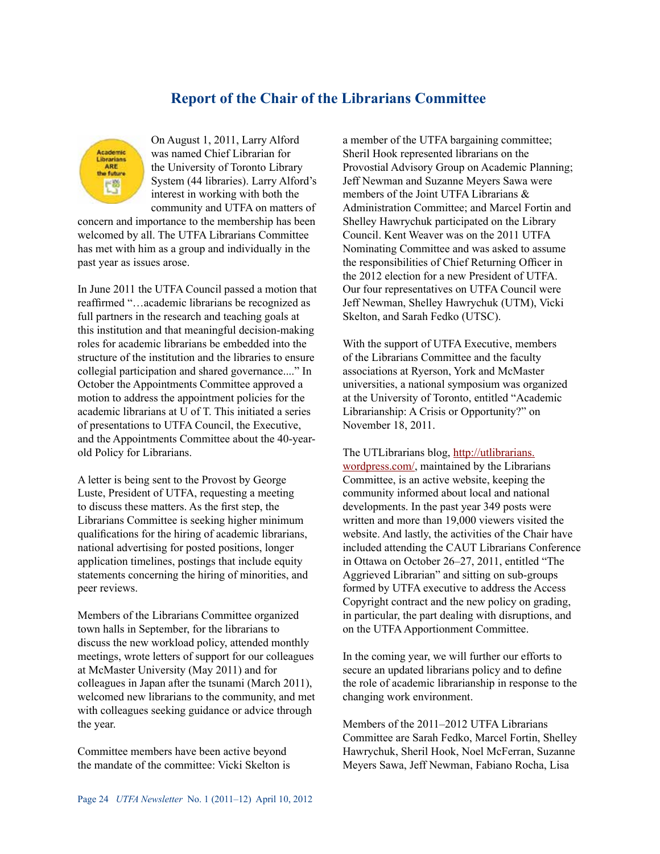## **Report of the Chair of the Librarians Committee**

Academic Librarians ARE the future 图

On August 1, 2011, Larry Alford was named Chief Librarian for the University of Toronto Library System (44 libraries). Larry Alford's interest in working with both the community and UTFA on matters of

concern and importance to the membership has been welcomed by all. The UTFA Librarians Committee has met with him as a group and individually in the past year as issues arose.

In June 2011 the UTFA Council passed a motion that reaffirmed "…academic librarians be recognized as full partners in the research and teaching goals at this institution and that meaningful decision-making roles for academic librarians be embedded into the structure of the institution and the libraries to ensure collegial participation and shared governance...." In October the Appointments Committee approved a motion to address the appointment policies for the academic librarians at U of T. This initiated a series of presentations to UTFA Council, the Executive, and the Appointments Committee about the 40-yearold Policy for Librarians.

A letter is being sent to the Provost by George Luste, President of UTFA, requesting a meeting to discuss these matters. As the first step, the Librarians Committee is seeking higher minimum qualifications for the hiring of academic librarians, national advertising for posted positions, longer application timelines, postings that include equity statements concerning the hiring of minorities, and peer reviews.

Members of the Librarians Committee organized town halls in September, for the librarians to discuss the new workload policy, attended monthly meetings, wrote letters of support for our colleagues at McMaster University (May 2011) and for colleagues in Japan after the tsunami (March 2011), welcomed new librarians to the community, and met with colleagues seeking guidance or advice through the year.

Committee members have been active beyond the mandate of the committee: Vicki Skelton is

a member of the UTFA bargaining committee; Sheril Hook represented librarians on the Provostial Advisory Group on Academic Planning; Jeff Newman and Suzanne Meyers Sawa were members of the Joint UTFA Librarians & Administration Committee; and Marcel Fortin and Shelley Hawrychuk participated on the Library Council. Kent Weaver was on the 2011 UTFA Nominating Committee and was asked to assume the responsibilities of Chief Returning Officer in the 2012 election for a new President of UTFA. Our four representatives on UTFA Council were Jeff Newman, Shelley Hawrychuk (UTM), Vicki Skelton, and Sarah Fedko (UTSC).

With the support of UTFA Executive, members of the Librarians Committee and the faculty associations at Ryerson, York and McMaster universities, a national symposium was organized at the University of Toronto, entitled "Academic Librarianship: A Crisis or Opportunity?" on November 18, 2011.

The UTLibrarians blog, [http://utlibrarians.](http://utlibrarians.wordpress.com/) [wordpress.com/,](http://utlibrarians.wordpress.com/) maintained by the Librarians Committee, is an active website, keeping the community informed about local and national developments. In the past year 349 posts were written and more than 19,000 viewers visited the website. And lastly, the activities of the Chair have included attending the CAUT Librarians Conference in Ottawa on October 26–27, 2011, entitled "The Aggrieved Librarian" and sitting on sub-groups formed by UTFA executive to address the Access Copyright contract and the new policy on grading, in particular, the part dealing with disruptions, and on the UTFA Apportionment Committee.

In the coming year, we will further our efforts to secure an updated librarians policy and to define the role of academic librarianship in response to the changing work environment.

Members of the 2011–2012 UTFA Librarians Committee are Sarah Fedko, Marcel Fortin, Shelley Hawrychuk, Sheril Hook, Noel McFerran, Suzanne Meyers Sawa, Jeff Newman, Fabiano Rocha, Lisa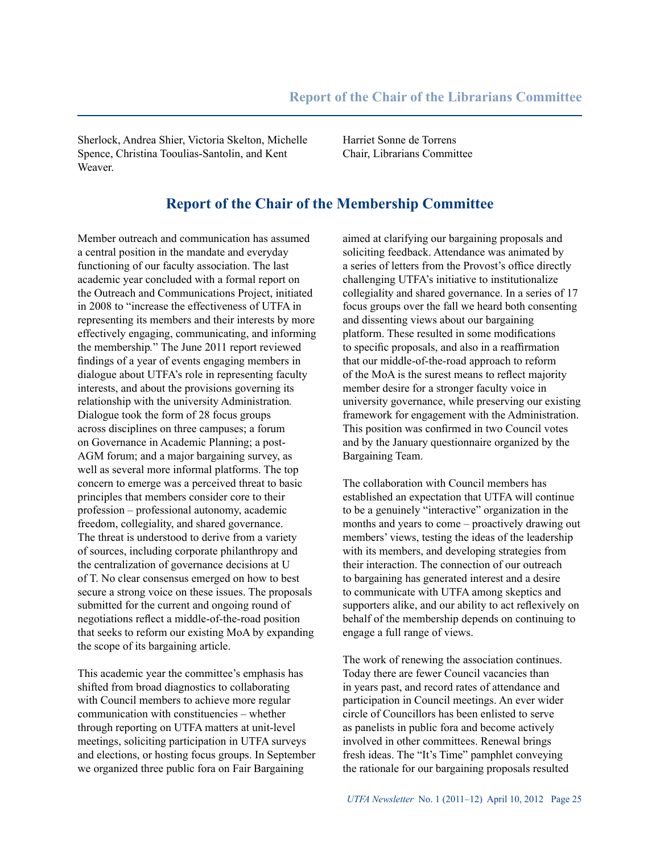Sherlock, Andrea Shier, Victoria Skelton, Michelle Spence, Christina Tooulias-Santolin, and Kent Weaver.

Harriet Sonne de Torrens Chair, Librarians Committee

## **Report of the Chair of the Membership Committee**

Member outreach and communication has assumed a central position in the mandate and everyday functioning of our faculty association. The last academic year concluded with a formal report on the Outreach and Communications Project, initiated in 2008 to "increase the effectiveness of UTFA in representing its members and their interests by more effectively engaging, communicating, and informing the membership*.*" The June 2011 report reviewed findings of a year of events engaging members in dialogue about UTFA's role in representing faculty interests, and about the provisions governing its relationship with the university Administration*.*  Dialogue took the form of 28 focus groups across disciplines on three campuses; a forum on Governance in Academic Planning; a post-AGM forum; and a major bargaining survey, as well as several more informal platforms. The top concern to emerge was a perceived threat to basic principles that members consider core to their profession – professional autonomy, academic freedom, collegiality, and shared governance. The threat is understood to derive from a variety of sources, including corporate philanthropy and the centralization of governance decisions at U of T. No clear consensus emerged on how to best secure a strong voice on these issues. The proposals submitted for the current and ongoing round of negotiations reflect a middle-of-the-road position that seeks to reform our existing MoA by expanding the scope of its bargaining article.

This academic year the committee's emphasis has shifted from broad diagnostics to collaborating with Council members to achieve more regular communication with constituencies – whether through reporting on UTFA matters at unit-level meetings, soliciting participation in UTFA surveys and elections, or hosting focus groups. In September we organized three public fora on Fair Bargaining

aimed at clarifying our bargaining proposals and soliciting feedback. Attendance was animated by a series of letters from the Provost's office directly challenging UTFA's initiative to institutionalize collegiality and shared governance. In a series of 17 focus groups over the fall we heard both consenting and dissenting views about our bargaining platform. These resulted in some modifications to specific proposals, and also in a reaffirmation that our middle-of-the-road approach to reform of the MoA is the surest means to reflect majority member desire for a stronger faculty voice in university governance, while preserving our existing framework for engagement with the Administration. This position was confirmed in two Council votes and by the January questionnaire organized by the Bargaining Team.

The collaboration with Council members has established an expectation that UTFA will continue to be a genuinely "interactive" organization in the months and years to come – proactively drawing out members' views, testing the ideas of the leadership with its members, and developing strategies from their interaction. The connection of our outreach to bargaining has generated interest and a desire to communicate with UTFA among skeptics and supporters alike, and our ability to act reflexively on behalf of the membership depends on continuing to engage a full range of views.

The work of renewing the association continues. Today there are fewer Council vacancies than in years past, and record rates of attendance and participation in Council meetings. An ever wider circle of Councillors has been enlisted to serve as panelists in public fora and become actively involved in other committees. Renewal brings fresh ideas. The "It's Time" pamphlet conveying the rationale for our bargaining proposals resulted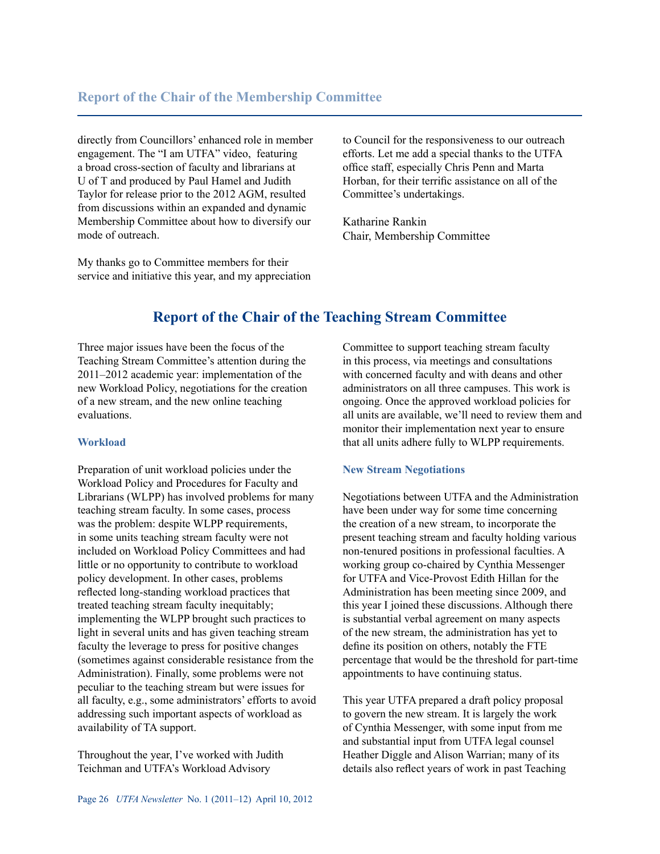## **Report of the Chair of the Membership Committee**

directly from Councillors' enhanced role in member engagement. The "I am UTFA" video, featuring a broad cross-section of faculty and librarians at U of T and produced by Paul Hamel and Judith Taylor for release prior to the 2012 AGM, resulted from discussions within an expanded and dynamic Membership Committee about how to diversify our mode of outreach.

My thanks go to Committee members for their service and initiative this year, and my appreciation to Council for the responsiveness to our outreach efforts. Let me add a special thanks to the UTFA office staff, especially Chris Penn and Marta Horban, for their terrific assistance on all of the Committee's undertakings.

Katharine Rankin Chair, Membership Committee

## **Report of the Chair of the Teaching Stream Committee**

Three major issues have been the focus of the Teaching Stream Committee's attention during the 2011–2012 academic year: implementation of the new Workload Policy, negotiations for the creation of a new stream, and the new online teaching evaluations.

### **Workload**

Preparation of unit workload policies under the Workload Policy and Procedures for Faculty and Librarians (WLPP) has involved problems for many teaching stream faculty. In some cases, process was the problem: despite WLPP requirements, in some units teaching stream faculty were not included on Workload Policy Committees and had little or no opportunity to contribute to workload policy development. In other cases, problems reflected long-standing workload practices that treated teaching stream faculty inequitably; implementing the WLPP brought such practices to light in several units and has given teaching stream faculty the leverage to press for positive changes (sometimes against considerable resistance from the Administration). Finally, some problems were not peculiar to the teaching stream but were issues for all faculty, e.g., some administrators' efforts to avoid addressing such important aspects of workload as availability of TA support.

Throughout the year, I've worked with Judith Teichman and UTFA's Workload Advisory

Committee to support teaching stream faculty in this process, via meetings and consultations with concerned faculty and with deans and other administrators on all three campuses. This work is ongoing. Once the approved workload policies for all units are available, we'll need to review them and monitor their implementation next year to ensure that all units adhere fully to WLPP requirements.

### **New Stream Negotiations**

Negotiations between UTFA and the Administration have been under way for some time concerning the creation of a new stream, to incorporate the present teaching stream and faculty holding various non-tenured positions in professional faculties. A working group co-chaired by Cynthia Messenger for UTFA and Vice-Provost Edith Hillan for the Administration has been meeting since 2009, and this year I joined these discussions. Although there is substantial verbal agreement on many aspects of the new stream, the administration has yet to define its position on others, notably the FTE percentage that would be the threshold for part-time appointments to have continuing status.

This year UTFA prepared a draft policy proposal to govern the new stream. It is largely the work of Cynthia Messenger, with some input from me and substantial input from UTFA legal counsel Heather Diggle and Alison Warrian; many of its details also reflect years of work in past Teaching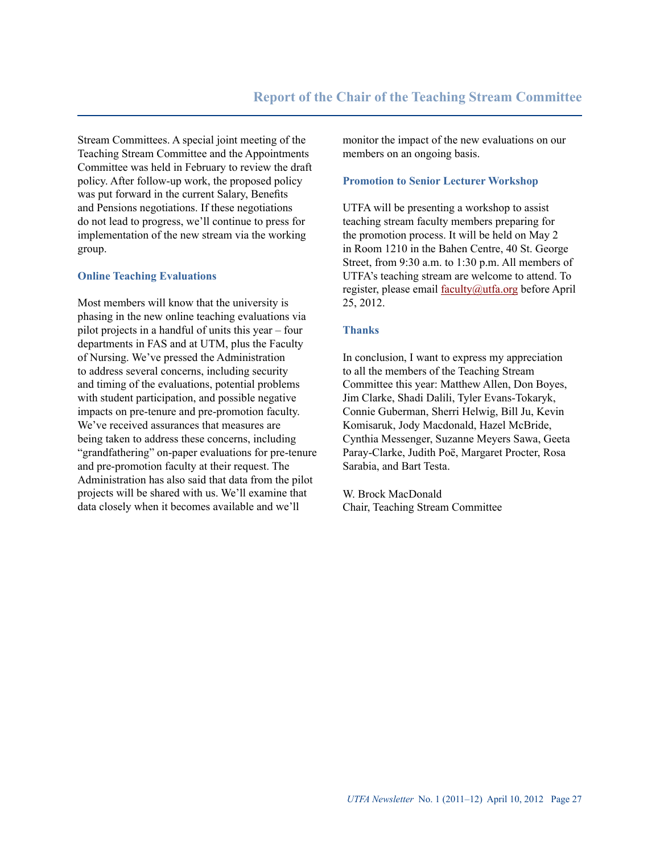Stream Committees. A special joint meeting of the Teaching Stream Committee and the Appointments Committee was held in February to review the draft policy. After follow-up work, the proposed policy was put forward in the current Salary, Benefits and Pensions negotiations. If these negotiations do not lead to progress, we'll continue to press for implementation of the new stream via the working group.

## **Online Teaching Evaluations**

Most members will know that the university is phasing in the new online teaching evaluations via pilot projects in a handful of units this year – four departments in FAS and at UTM, plus the Faculty of Nursing. We've pressed the Administration to address several concerns, including security and timing of the evaluations, potential problems with student participation, and possible negative impacts on pre-tenure and pre-promotion faculty. We've received assurances that measures are being taken to address these concerns, including "grandfathering" on-paper evaluations for pre-tenure and pre-promotion faculty at their request. The Administration has also said that data from the pilot projects will be shared with us. We'll examine that data closely when it becomes available and we'll

monitor the impact of the new evaluations on our members on an ongoing basis.

### **Promotion to Senior Lecturer Workshop**

UTFA will be presenting a workshop to assist teaching stream faculty members preparing for the promotion process. It will be held on May 2 in Room 1210 in the Bahen Centre, 40 St. George Street, from 9:30 a.m. to 1:30 p.m. All members of UTFA's teaching stream are welcome to attend. To register, please email [faculty@utfa.org](mailto:faculty@utfa.org) before April 25, 2012.

### **Thanks**

In conclusion, I want to express my appreciation to all the members of the Teaching Stream Committee this year: Matthew Allen, Don Boyes, Jim Clarke, Shadi Dalili, Tyler Evans-Tokaryk, Connie Guberman, Sherri Helwig, Bill Ju, Kevin Komisaruk, Jody Macdonald, Hazel McBride, Cynthia Messenger, Suzanne Meyers Sawa, Geeta Paray-Clarke, Judith Poë, Margaret Procter, Rosa Sarabia, and Bart Testa.

W. Brock MacDonald Chair, Teaching Stream Committee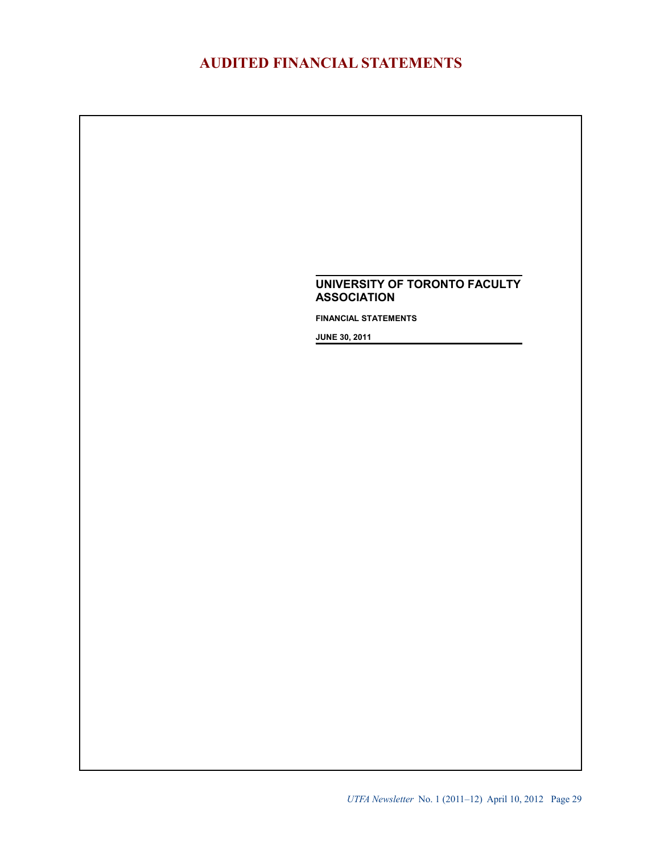## **UNIVERSITY OF TORONTO FACULTY ASSOCIATION**

**FINANCIAL STATEMENTS**

**JUNE 30, 2011**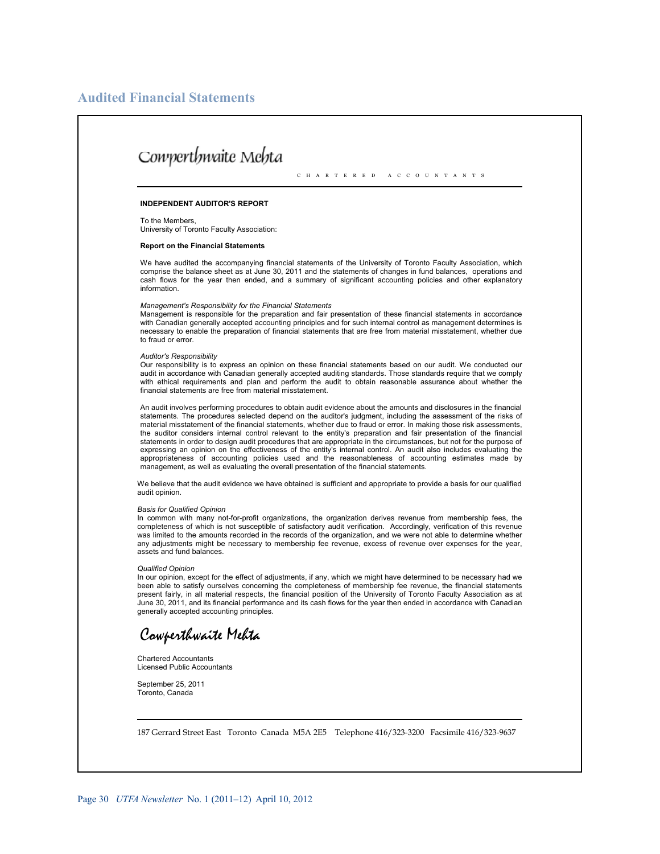Cowperthwaite Mehta C H A R T E R E D A C C O U N T A N T S **INDEPENDENT AUDITOR'S REPORT** To the Members, University of Toronto Faculty Association: **Report on the Financial Statements**  We have audited the accompanying financial statements of the University of Toronto Faculty Association, which comprise the balance sheet as at June 30, 2011 and the statements of changes in fund balances, operations and cash flows for the year then ended, and a summary of significant accounting policies and other explanatory information. *Management's Responsibility for the Financial Statements* Management is responsible for the preparation and fair presentation of these financial statements in accordance with Canadian generally accepted accounting principles and for such internal control as management determines is necessary to enable the preparation of financial statements that are free from material misstatement, whether due to fraud or error. *Auditor's Responsibility* Our responsibility is to express an opinion on these financial statements based on our audit. We conducted our audit in accordance with Canadian generally accepted auditing standards. Those standards require that we comply with ethical requirements and plan and perform the audit to obtain reasonable assurance about whether the financial statements are free from material misstatement. An audit involves performing procedures to obtain audit evidence about the amounts and disclosures in the financial statements. The procedures selected depend on the auditor's judgment, including the assessment of the risks of material misstatement of the financial statements, whether due to fraud or error. In making those risk assessments, the auditor considers internal control relevant to the entity's preparation and fair presentation of the financial statements in order to design audit procedures that are appropriate in the circumstances, but not for the purpose of expressing an opinion on the effectiveness of the entity's internal control. An audit also includes evaluating the appropriateness of accounting policies used and the reasonableness of accounting estimates made by management, as well as evaluating the overall presentation of the financial statements. We believe that the audit evidence we have obtained is sufficient and appropriate to provide a basis for our qualified audit opinion. *Basis for Qualified Opinion* In common with many not-for-profit organizations, the organization derives revenue from membership fees, the completeness of which is not susceptible of satisfactory audit verification. Accordingly, verification of this revenue was limited to the amounts recorded in the records of the organization, and we were not able to determine whether any adjustments might be necessary to membership fee revenue, excess of revenue over expenses for the year, assets and fund balances. *Qualified Opinion* In our opinion, except for the effect of adjustments, if any, which we might have determined to be necessary had we been able to satisfy ourselves concerning the completeness of membership fee revenue, the financial statements present fairly, in all material respects, the financial position of the University of Toronto Faculty Association as at June 30, 2011, and its financial performance and its cash flows for the year then ended in accordance with Canadian generally accepted accounting principles. Cowperthwaite Mehta Chartered Accountants Licensed Public Accountants September 25, 2011 Toronto, Canada 187 Gerrard Street East Toronto Canada M5A 2E5 Telephone 416/323-3200 Facsimile 416/323-9637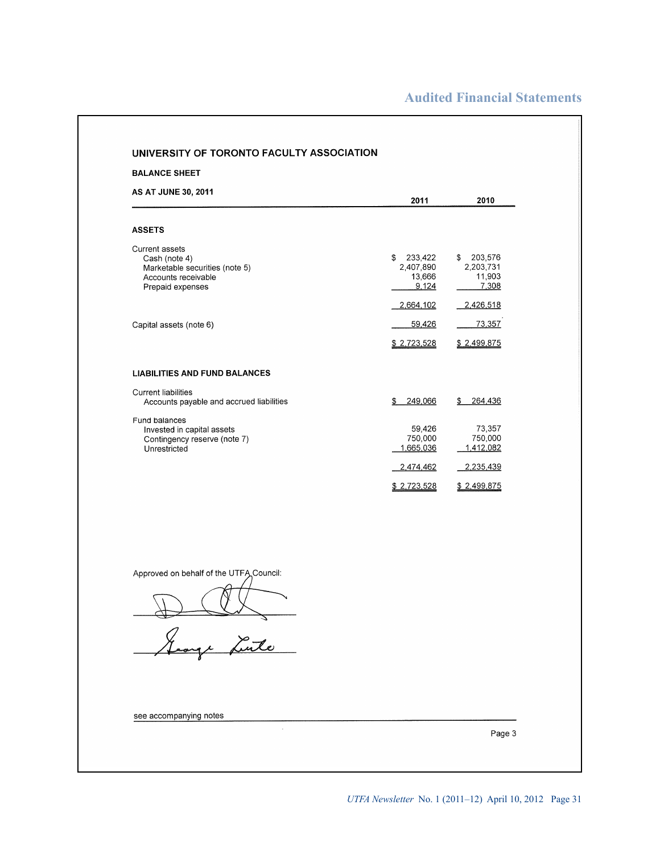| <b>BALANCE SHEET</b>                                                                                         |                                               |                                           |
|--------------------------------------------------------------------------------------------------------------|-----------------------------------------------|-------------------------------------------|
| AS AT JUNE 30, 2011                                                                                          | 2011                                          | 2010                                      |
| <b>ASSETS</b>                                                                                                |                                               |                                           |
| Current assets<br>Cash (note 4)<br>Marketable securities (note 5)<br>Accounts receivable<br>Prepaid expenses | 233,422<br>\$<br>2,407,890<br>13,666<br>9,124 | \$203,576<br>2,203,731<br>11,903<br>7,308 |
|                                                                                                              | 2,664,102                                     | 2,426,518                                 |
| Capital assets (note 6)                                                                                      | 59,426                                        | 73,357                                    |
|                                                                                                              | \$2,723,528                                   | \$2,499,875                               |
| <b>LIABILITIES AND FUND BALANCES</b>                                                                         |                                               |                                           |
| <b>Current liabilities</b><br>Accounts payable and accrued liabilities                                       | 249,066<br>\$                                 | 264,436<br>\$                             |
| Fund balances<br>Invested in capital assets<br>Contingency reserve (note 7)<br>Unrestricted                  | 59,426<br>750,000<br>1,665,036                | 73,357<br>750,000<br>1,412,082            |
|                                                                                                              | 2,474,462                                     | 2,235,439                                 |
|                                                                                                              | \$2,723,528                                   | \$2,499,875                               |
| Approved on behalf of the UTFA Council:<br>Lute                                                              |                                               |                                           |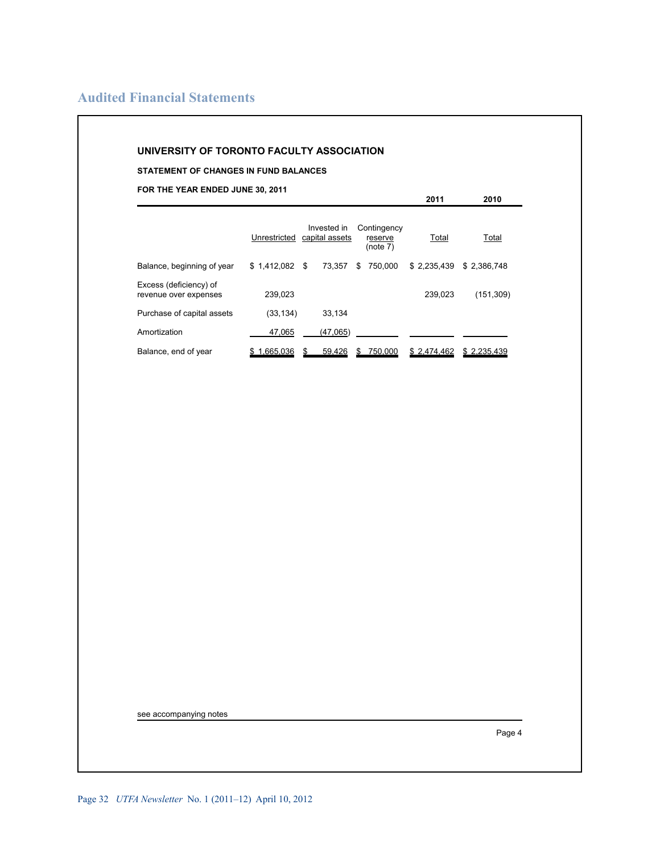### **UNIVERSITY OF TORONTO FACULTY ASSOCIATION**

**STATEMENT OF CHANGES IN FUND BALANCES**

**FOR THE YEAR ENDED JUNE 30, 2011**

|                                                 | Unrestricted | Invested in<br>capital assets | Contingency<br>reserve<br>(note 7) | Total       | Total       |
|-------------------------------------------------|--------------|-------------------------------|------------------------------------|-------------|-------------|
| Balance, beginning of year                      | \$1,412,082  | 73.357<br>- \$                | 750.000<br>S                       | \$2.235.439 | \$2.386.748 |
| Excess (deficiency) of<br>revenue over expenses | 239.023      |                               |                                    | 239,023     | (151, 309)  |
| Purchase of capital assets                      | (33, 134)    | 33.134                        |                                    |             |             |
| Amortization                                    | 47,065       | (47.065)                      |                                    |             |             |
| Balance, end of year                            | 1,665,036    | 59,426<br>S                   | 750,000                            | \$2,474,462 | \$2,235,439 |

**2011 2010**

see accompanying notes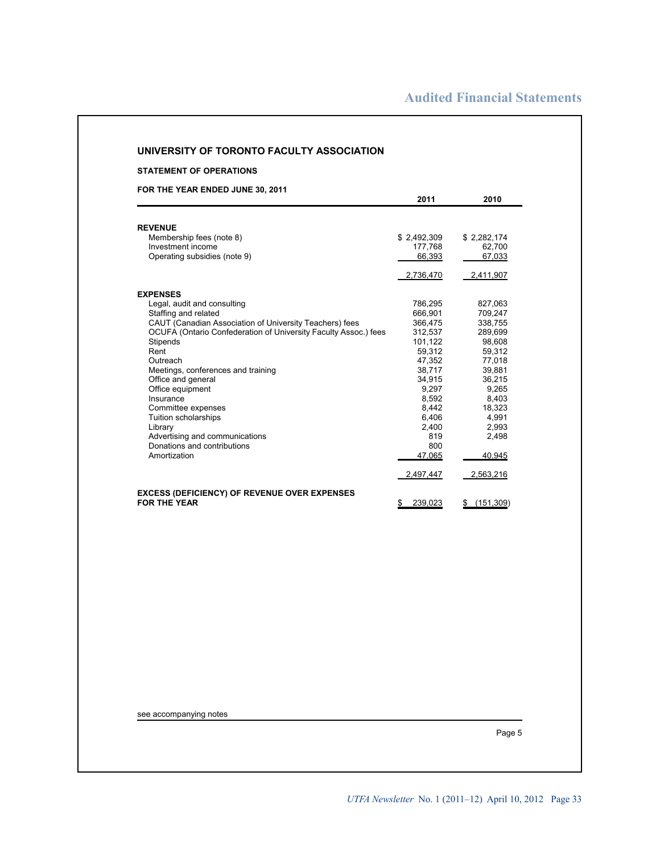| <b>STATEMENT OF OPERATIONS</b>                                  |                        |                       |
|-----------------------------------------------------------------|------------------------|-----------------------|
| FOR THE YEAR ENDED JUNE 30, 2011                                | 2011                   | 2010                  |
|                                                                 |                        |                       |
| <b>REVENUE</b>                                                  |                        |                       |
| Membership fees (note 8)<br>Investment income                   | \$2,492,309<br>177,768 | \$2,282,174<br>62,700 |
| Operating subsidies (note 9)                                    | 66,393                 | 67,033                |
|                                                                 | 2,736,470              | 2,411,907             |
| <b>EXPENSES</b>                                                 |                        |                       |
| Legal, audit and consulting                                     | 786,295                | 827,063               |
| Staffing and related                                            | 666,901                | 709,247               |
| CAUT (Canadian Association of University Teachers) fees         | 366,475                | 338,755               |
| OCUFA (Ontario Confederation of University Faculty Assoc.) fees | 312,537                | 289,699               |
| Stipends                                                        | 101,122                | 98,608                |
| Rent                                                            | 59,312                 | 59,312                |
| Outreach                                                        | 47,352                 | 77,018                |
| Meetings, conferences and training<br>Office and general        | 38,717<br>34,915       | 39,881<br>36,215      |
| Office equipment                                                | 9,297                  | 9,265                 |
| Insurance                                                       | 8,592                  | 8,403                 |
| Committee expenses                                              | 8,442                  | 18,323                |
| Tuition scholarships                                            | 6,406                  | 4,991                 |
| Library                                                         | 2,400                  | 2,993                 |
| Advertising and communications                                  | 819                    | 2,498                 |
| Donations and contributions                                     | 800                    |                       |
| Amortization                                                    | 47,065                 | 40,945                |
|                                                                 | 2,497,447              | 2,563,216             |
| <b>EXCESS (DEFICIENCY) OF REVENUE OVER EXPENSES</b>             |                        |                       |
| <b>FOR THE YEAR</b>                                             | \$239,023              | \$ (151,309)          |
|                                                                 |                        |                       |
| see accompanying notes                                          |                        |                       |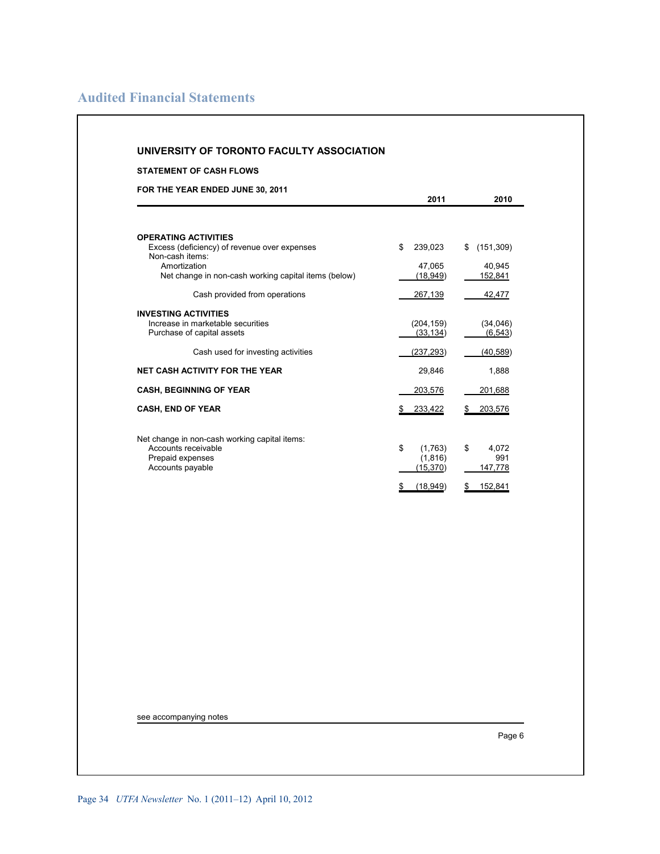| <b>STATEMENT OF CASH FLOWS</b>                                                                 |                           |                      |
|------------------------------------------------------------------------------------------------|---------------------------|----------------------|
| FOR THE YEAR ENDED JUNE 30, 2011                                                               | 2011                      | 2010                 |
| <b>OPERATING ACTIVITIES</b>                                                                    |                           |                      |
| Excess (deficiency) of revenue over expenses<br>Non-cash items:                                | 239.023<br>\$.            | \$(151,309)          |
| Amortization<br>Net change in non-cash working capital items (below)                           | 47.065<br>(18,949)        | 40.945<br>152,841    |
| Cash provided from operations                                                                  | 267,139                   | 42,477               |
| <b>INVESTING ACTIVITIES</b><br>Increase in marketable securities<br>Purchase of capital assets | (204, 159)<br>(33, 134)   | (34,046)<br>(6, 543) |
| Cash used for investing activities                                                             | (237, 293)                | (40, 589)            |
| <b>NET CASH ACTIVITY FOR THE YEAR</b>                                                          | 29,846                    | 1,888                |
| <b>CASH, BEGINNING OF YEAR</b>                                                                 | 203,576                   | 201,688              |
| <b>CASH, END OF YEAR</b>                                                                       | 233,422                   | 203,576<br>\$        |
| Net change in non-cash working capital items:                                                  |                           |                      |
| Accounts receivable<br>Prepaid expenses                                                        | \$<br>(1,763)<br>(1, 816) | \$<br>4.072<br>991   |
| Accounts payable                                                                               | (15, 370)                 | 147,778              |
|                                                                                                | (18, 949)<br>\$           | 152,841<br>\$        |

see accompanying notes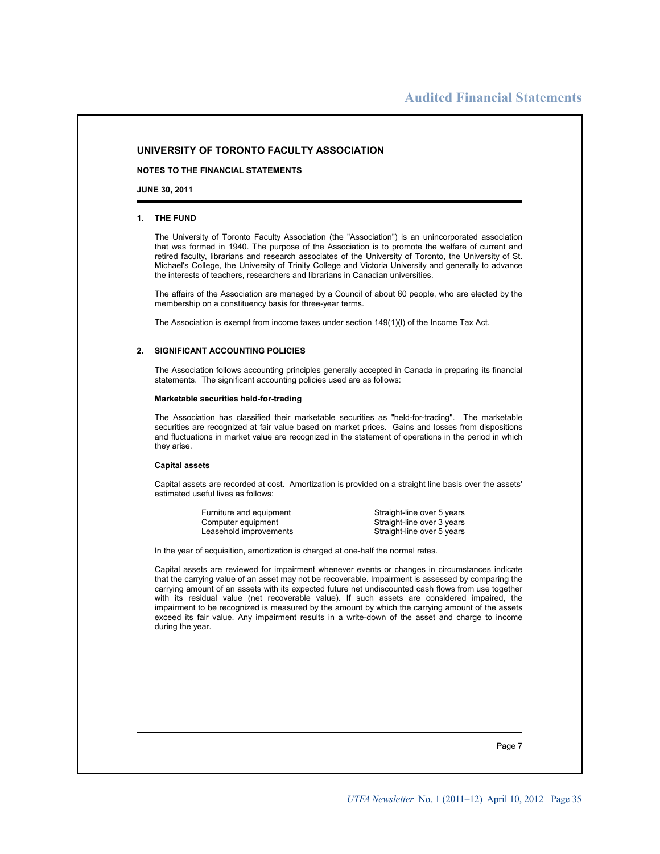#### **UNIVERSITY OF TORONTO FACULTY ASSOCIATION**

**NOTES TO THE FINANCIAL STATEMENTS**

**JUNE 30, 2011**

#### **1. THE FUND**

The University of Toronto Faculty Association (the "Association") is an unincorporated association that was formed in 1940. The purpose of the Association is to promote the welfare of current and retired faculty, librarians and research associates of the University of Toronto, the University of St. Michael's College, the University of Trinity College and Victoria University and generally to advance the interests of teachers, researchers and librarians in Canadian universities.

The affairs of the Association are managed by a Council of about 60 people, who are elected by the membership on a constituency basis for three-year terms.

The Association is exempt from income taxes under section 149(1)(l) of the Income Tax Act.

#### **2. SIGNIFICANT ACCOUNTING POLICIES**

The Association follows accounting principles generally accepted in Canada in preparing its financial statements. The significant accounting policies used are as follows:

#### **Marketable securities held-for-trading**

The Association has classified their marketable securities as "held-for-trading". The marketable securities are recognized at fair value based on market prices. Gains and losses from dispositions and fluctuations in market value are recognized in the statement of operations in the period in which they arise.

#### **Capital assets**

Capital assets are recorded at cost. Amortization is provided on a straight line basis over the assets' estimated useful lives as follows:

| Furniture and equipment | Straight-line over 5 years |
|-------------------------|----------------------------|
| Computer equipment      | Straight-line over 3 years |
| Leasehold improvements  | Straight-line over 5 years |

In the year of acquisition, amortization is charged at one-half the normal rates.

Capital assets are reviewed for impairment whenever events or changes in circumstances indicate that the carrying value of an asset may not be recoverable. Impairment is assessed by comparing the carrying amount of an assets with its expected future net undiscounted cash flows from use together with its residual value (net recoverable value). If such assets are considered impaired, the impairment to be recognized is measured by the amount by which the carrying amount of the assets exceed its fair value. Any impairment results in a write-down of the asset and charge to income during the year.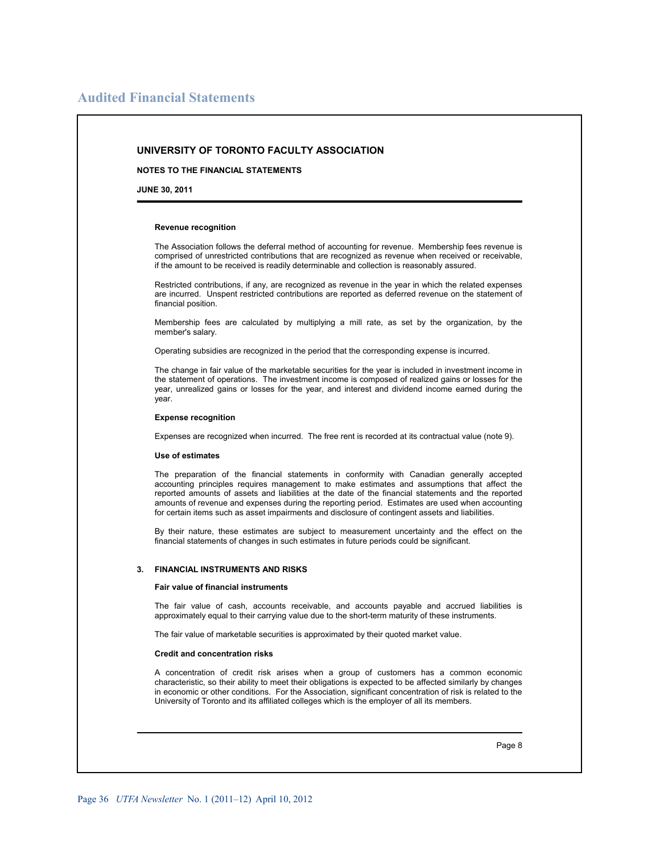#### **UNIVERSITY OF TORONTO FACULTY ASSOCIATION**

#### **NOTES TO THE FINANCIAL STATEMENTS**

**JUNE 30, 2011**

#### **Revenue recognition**

The Association follows the deferral method of accounting for revenue. Membership fees revenue is comprised of unrestricted contributions that are recognized as revenue when received or receivable, if the amount to be received is readily determinable and collection is reasonably assured.

Restricted contributions, if any, are recognized as revenue in the year in which the related expenses are incurred. Unspent restricted contributions are reported as deferred revenue on the statement of financial position.

Membership fees are calculated by multiplying a mill rate, as set by the organization, by the member's salary.

Operating subsidies are recognized in the period that the corresponding expense is incurred.

The change in fair value of the marketable securities for the year is included in investment income in the statement of operations. The investment income is composed of realized gains or losses for the year, unrealized gains or losses for the year, and interest and dividend income earned during the year.

#### **Expense recognition**

Expenses are recognized when incurred. The free rent is recorded at its contractual value (note 9).

#### **Use of estimates**

The preparation of the financial statements in conformity with Canadian generally accepted accounting principles requires management to make estimates and assumptions that affect the reported amounts of assets and liabilities at the date of the financial statements and the reported amounts of revenue and expenses during the reporting period. Estimates are used when accounting for certain items such as asset impairments and disclosure of contingent assets and liabilities.

By their nature, these estimates are subject to measurement uncertainty and the effect on the financial statements of changes in such estimates in future periods could be significant.

#### **3. FINANCIAL INSTRUMENTS AND RISKS**

#### **Fair value of financial instruments**

The fair value of cash, accounts receivable, and accounts payable and accrued liabilities is approximately equal to their carrying value due to the short-term maturity of these instruments.

The fair value of marketable securities is approximated by their quoted market value.

#### **Credit and concentration risks**

A concentration of credit risk arises when a group of customers has a common economic characteristic, so their ability to meet their obligations is expected to be affected similarly by changes in economic or other conditions. For the Association, significant concentration of risk is related to the University of Toronto and its affiliated colleges which is the employer of all its members.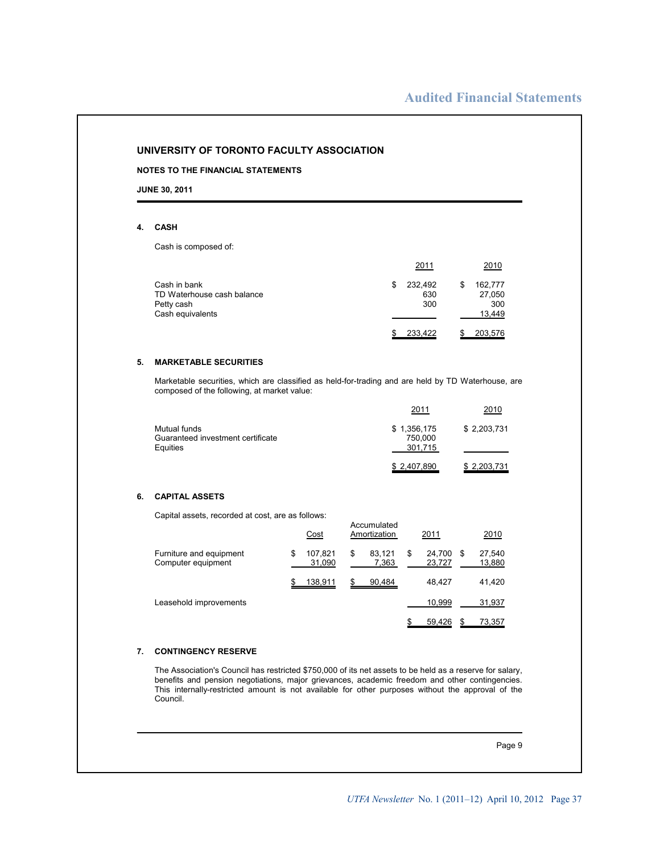## **UNIVERSITY OF TORONTO FACULTY ASSOCIATION NOTES TO THE FINANCIAL STATEMENTS JUNE 30, 2011 4. CASH** Cash is composed of: 2011 2010 Cash in bank **62,777**<br>TD Waterhouse cash balance **630 630 27,050** TD Waterhouse cash balance 630 27,050<br>Petty cash 630 27,050 27,050 27,050 Petty cash 300 300 Cash equivalents 200 million control control control control control control control control control control control control control control control control control control control control control control control control c \$ 233,422 \$ 203,576 **5. MARKETABLE SECURITIES** Marketable securities, which are classified as held-for-trading and are held by TD Waterhouse, are composed of the following, at market value: 2011 2010 Mutual funds \$ 1,356,175 \$ 2,203,731<br>Guaranteed investment certificate \$ 750,000 \$ 750,000 Guaranteed investment certificate<br>
Equities
301.715 Equities 201,715 \$ 2,407,890 \$ 2,203,731 **6. CAPITAL ASSETS** Capital assets, recorded at cost, are as follows: Accumulated Cost Amortization 2011 2010 Furniture and equipment  $$107,821 $83,121 $24,700 $27,540$ <br>Computer equipment  $$31,090$   $$7,363$   $$23,727$   $$13,880$ Computer equipment 138,911 \$ 90,484 48,427 41,420 Leasehold improvements 10,999 31,937 59,426 \$ 73,357 **7. CONTINGENCY RESERVE** The Association's Council has restricted \$750,000 of its net assets to be held as a reserve for salary, benefits and pension negotiations, major grievances, academic freedom and other contingencies. This internally-restricted amount is not available for other purposes without the approval of the Council.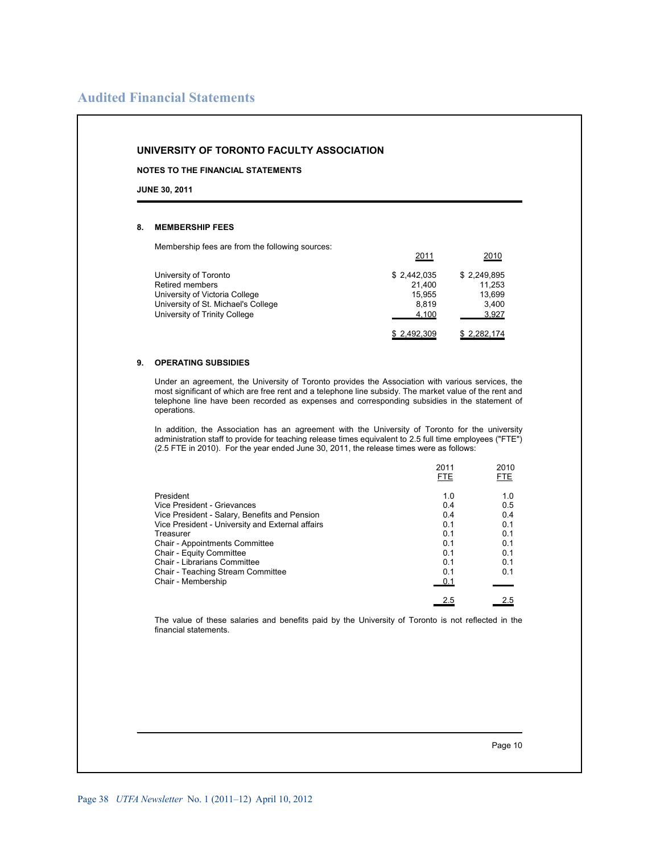#### **UNIVERSITY OF TORONTO FACULTY ASSOCIATION**

#### **NOTES TO THE FINANCIAL STATEMENTS**

#### **JUNE 30, 2011**

#### **8. MEMBERSHIP FEES**

Membership fees are from the following sources:

|                                     | 2011        | 2010        |
|-------------------------------------|-------------|-------------|
| University of Toronto               | \$2.442.035 | \$2.249.895 |
| Retired members                     | 21.400      | 11.253      |
| University of Victoria College      | 15.955      | 13.699      |
| University of St. Michael's College | 8.819       | 3,400       |
| University of Trinity College       | 4,100       | 3,927       |
|                                     | \$2.492.309 | \$2.282.174 |

#### **9. OPERATING SUBSIDIES**

Under an agreement, the University of Toronto provides the Association with various services, the most significant of which are free rent and a telephone line subsidy. The market value of the rent and telephone line have been recorded as expenses and corresponding subsidies in the statement of operations.

In addition, the Association has an agreement with the University of Toronto for the university administration staff to provide for teaching release times equivalent to 2.5 full time employees ("FTE") (2.5 FTE in 2010). For the year ended June 30, 2011, the release times were as follows:

|                                                  | 2011<br>FTE | 2010<br><b>FTE</b> |
|--------------------------------------------------|-------------|--------------------|
| President                                        | 1.0         | 1.0                |
| Vice President - Grievances                      | 0.4         | 0.5                |
| Vice President - Salary, Benefits and Pension    | 0.4         | 0.4                |
| Vice President - University and External affairs | 0.1         | 0.1                |
| Treasurer                                        | 0.1         | 0.1                |
| <b>Chair - Appointments Committee</b>            | 0.1         | 0.1                |
| Chair - Equity Committee                         | 0.1         | 0.1                |
| Chair - Librarians Committee                     | 0.1         | 0.1                |
| Chair - Teaching Stream Committee                | 0.1         | 0.1                |
| Chair - Membership                               | 0.1         |                    |
|                                                  | 2.5         | 2.5                |

The value of these salaries and benefits paid by the University of Toronto is not reflected in the financial statements.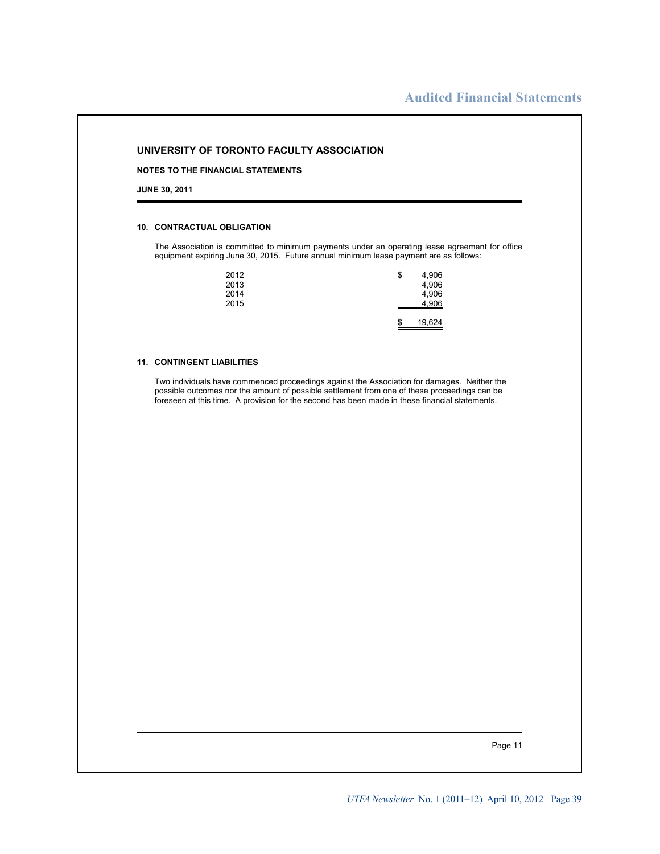| NOTES TO THE FINANCIAL STATEMENTS                                                                                                                                                       |                                                                                             |
|-----------------------------------------------------------------------------------------------------------------------------------------------------------------------------------------|---------------------------------------------------------------------------------------------|
| <b>JUNE 30, 2011</b>                                                                                                                                                                    |                                                                                             |
|                                                                                                                                                                                         |                                                                                             |
| 10. CONTRACTUAL OBLIGATION                                                                                                                                                              |                                                                                             |
| The Association is committed to minimum payments under an operating lease agreement for office<br>equipment expiring June 30, 2015. Future annual minimum lease payment are as follows: |                                                                                             |
| 2012<br>2013                                                                                                                                                                            | \$<br>4,906<br>4,906                                                                        |
| 2014<br>2015                                                                                                                                                                            | 4,906<br>4,906                                                                              |
|                                                                                                                                                                                         | 19,624                                                                                      |
|                                                                                                                                                                                         |                                                                                             |
| <b>11. CONTINGENT LIABILITIES</b>                                                                                                                                                       |                                                                                             |
|                                                                                                                                                                                         |                                                                                             |
|                                                                                                                                                                                         | Two individuals have commenced proceedings against the Association for damages. Neither the |
| possible outcomes nor the amount of possible settlement from one of these proceedings can be                                                                                            |                                                                                             |
| foreseen at this time. A provision for the second has been made in these financial statements.                                                                                          |                                                                                             |
|                                                                                                                                                                                         |                                                                                             |
|                                                                                                                                                                                         |                                                                                             |
|                                                                                                                                                                                         |                                                                                             |
|                                                                                                                                                                                         |                                                                                             |
|                                                                                                                                                                                         |                                                                                             |
|                                                                                                                                                                                         |                                                                                             |
|                                                                                                                                                                                         |                                                                                             |
|                                                                                                                                                                                         |                                                                                             |
|                                                                                                                                                                                         |                                                                                             |
|                                                                                                                                                                                         |                                                                                             |
|                                                                                                                                                                                         |                                                                                             |
|                                                                                                                                                                                         |                                                                                             |
|                                                                                                                                                                                         |                                                                                             |
|                                                                                                                                                                                         |                                                                                             |
|                                                                                                                                                                                         |                                                                                             |